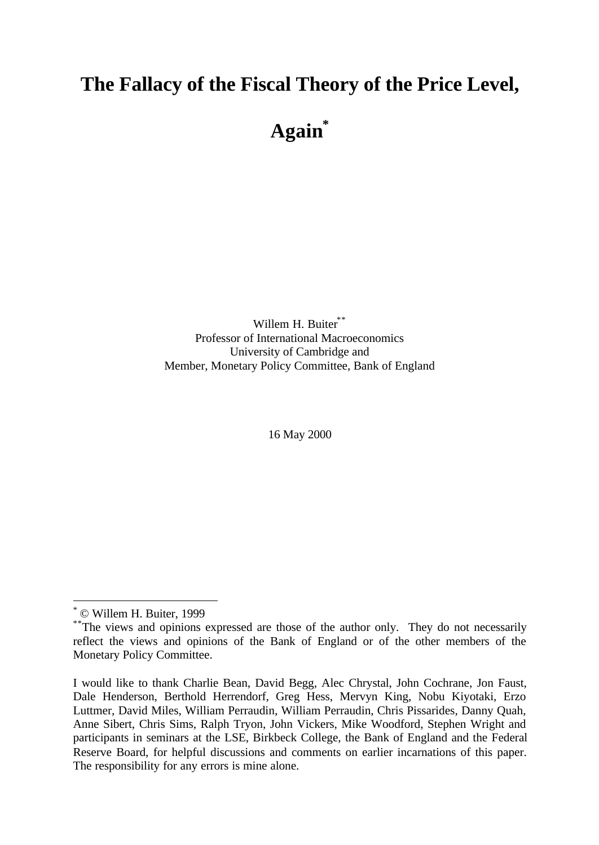# **The Fallacy of the Fiscal Theory of the Price Level,**

**Again\***

Willem H. Buiter\*\* Professor of International Macroeconomics University of Cambridge and Member, Monetary Policy Committee, Bank of England

16 May 2000

<sup>\*</sup> © Willem H. Buiter, 1999

<sup>&</sup>lt;sup>\*\*</sup>The views and opinions expressed are those of the author only. They do not necessarily reflect the views and opinions of the Bank of England or of the other members of the Monetary Policy Committee.

I would like to thank Charlie Bean, David Begg, Alec Chrystal, John Cochrane, Jon Faust, Dale Henderson, Berthold Herrendorf, Greg Hess, Mervyn King, Nobu Kiyotaki, Erzo Luttmer, David Miles, William Perraudin, William Perraudin, Chris Pissarides, Danny Quah, Anne Sibert, Chris Sims, Ralph Tryon, John Vickers, Mike Woodford, Stephen Wright and participants in seminars at the LSE, Birkbeck College, the Bank of England and the Federal Reserve Board, for helpful discussions and comments on earlier incarnations of this paper. The responsibility for any errors is mine alone.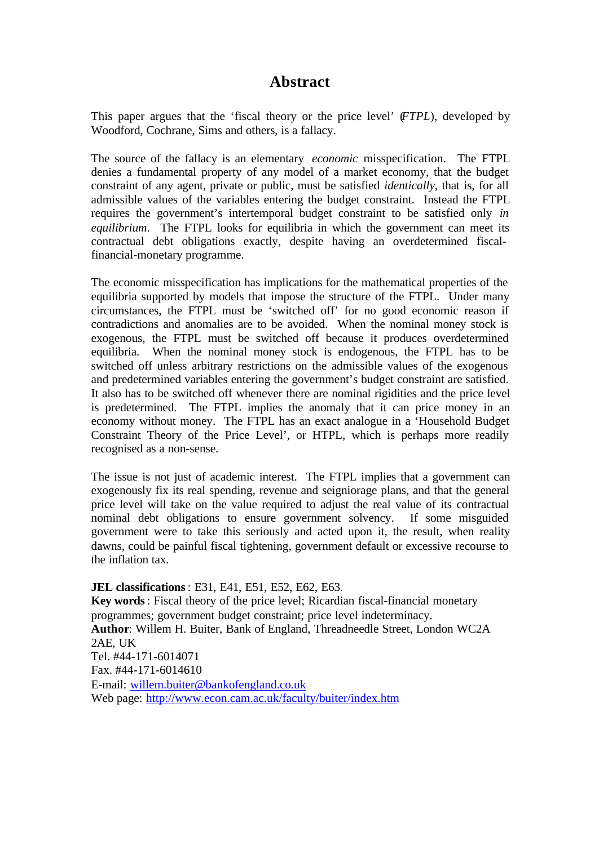# **Abstract**

This paper argues that the 'fiscal theory or the price level' (*FTPL*), developed by Woodford, Cochrane, Sims and others, is a fallacy.

The source of the fallacy is an elementary *economic* misspecification. The FTPL denies a fundamental property of any model of a market economy, that the budget constraint of any agent, private or public, must be satisfied *identically*, that is, for all admissible values of the variables entering the budget constraint. Instead the FTPL requires the government's intertemporal budget constraint to be satisfied only *in equilibrium*. The FTPL looks for equilibria in which the government can meet its contractual debt obligations exactly, despite having an overdetermined fiscalfinancial-monetary programme.

The economic misspecification has implications for the mathematical properties of the equilibria supported by models that impose the structure of the FTPL. Under many circumstances, the FTPL must be 'switched off' for no good economic reason if contradictions and anomalies are to be avoided. When the nominal money stock is exogenous, the FTPL must be switched off because it produces overdetermined equilibria. When the nominal money stock is endogenous, the FTPL has to be switched off unless arbitrary restrictions on the admissible values of the exogenous and predetermined variables entering the government's budget constraint are satisfied. It also has to be switched off whenever there are nominal rigidities and the price level is predetermined. The FTPL implies the anomaly that it can price money in an economy without money. The FTPL has an exact analogue in a 'Household Budget Constraint Theory of the Price Level', or HTPL, which is perhaps more readily recognised as a non-sense.

The issue is not just of academic interest. The FTPL implies that a government can exogenously fix its real spending, revenue and seigniorage plans, and that the general price level will take on the value required to adjust the real value of its contractual nominal debt obligations to ensure government solvency. If some misguided government were to take this seriously and acted upon it, the result, when reality dawns, could be painful fiscal tightening, government default or excessive recourse to the inflation tax.

**JEL classifications**: E31, E41, E51, E52, E62, E63. **Key words**: Fiscal theory of the price level; Ricardian fiscal-financial monetary programmes; government budget constraint; price level indeterminacy. **Author**: Willem H. Buiter, Bank of England, Threadneedle Street, London WC2A 2AE, UK Tel. #44-171-6014071 Fax. #44-171-6014610 E-mail: willem.buiter@bankofengland.co.uk Web page: http://www.econ.cam.ac.uk/faculty/buiter/index.htm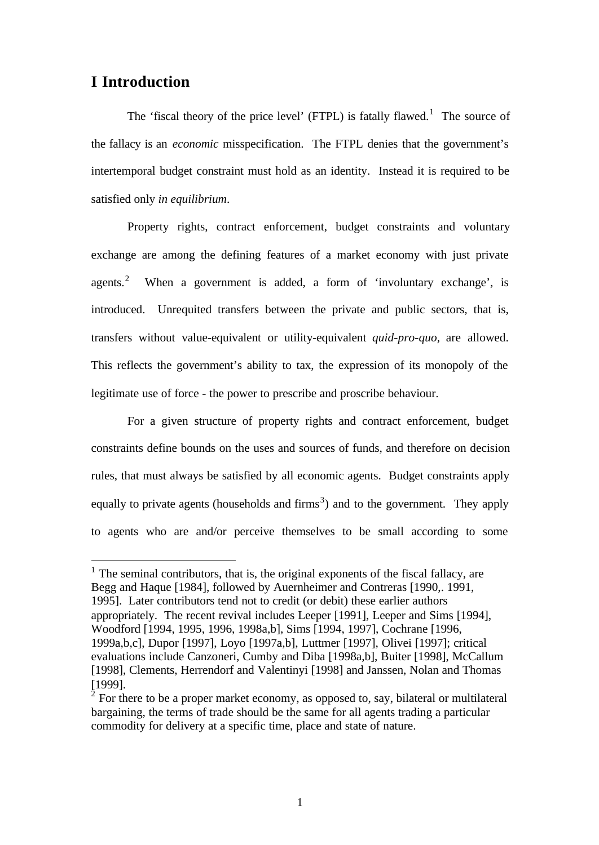### **I Introduction**

l

The 'fiscal theory of the price level' (FTPL) is fatally flawed.<sup>1</sup> The source of the fallacy is an *economic* misspecification. The FTPL denies that the government's intertemporal budget constraint must hold as an identity. Instead it is required to be satisfied only *in equilibrium*.

Property rights, contract enforcement, budget constraints and voluntary exchange are among the defining features of a market economy with just private agents.<sup>2</sup> When a government is added, a form of 'involuntary exchange', is introduced. Unrequited transfers between the private and public sectors, that is, transfers without value-equivalent or utility-equivalent *quid-pro-quo,* are allowed. This reflects the government's ability to tax, the expression of its monopoly of the legitimate use of force - the power to prescribe and proscribe behaviour.

For a given structure of property rights and contract enforcement, budget constraints define bounds on the uses and sources of funds, and therefore on decision rules, that must always be satisfied by all economic agents. Budget constraints apply equally to private agents (households and firms<sup>3</sup>) and to the government. They apply to agents who are and/or perceive themselves to be small according to some

 $<sup>1</sup>$  The seminal contributors, that is, the original exponents of the fiscal fallacy, are</sup> Begg and Haque [1984], followed by Auernheimer and Contreras [1990,. 1991, 1995]. Later contributors tend not to credit (or debit) these earlier authors appropriately. The recent revival includes Leeper [1991], Leeper and Sims [1994], Woodford [1994, 1995, 1996, 1998a,b], Sims [1994, 1997], Cochrane [1996, 1999a,b,c], Dupor [1997], Loyo [1997a,b], Luttmer [1997], Olivei [1997]; critical evaluations include Canzoneri, Cumby and Diba [1998a,b], Buiter [1998], McCallum [1998], Clements, Herrendorf and Valentinyi [1998] and Janssen, Nolan and Thomas [1999].

 $2^{\overline{2}}$  For there to be a proper market economy, as opposed to, say, bilateral or multilateral bargaining, the terms of trade should be the same for all agents trading a particular commodity for delivery at a specific time, place and state of nature.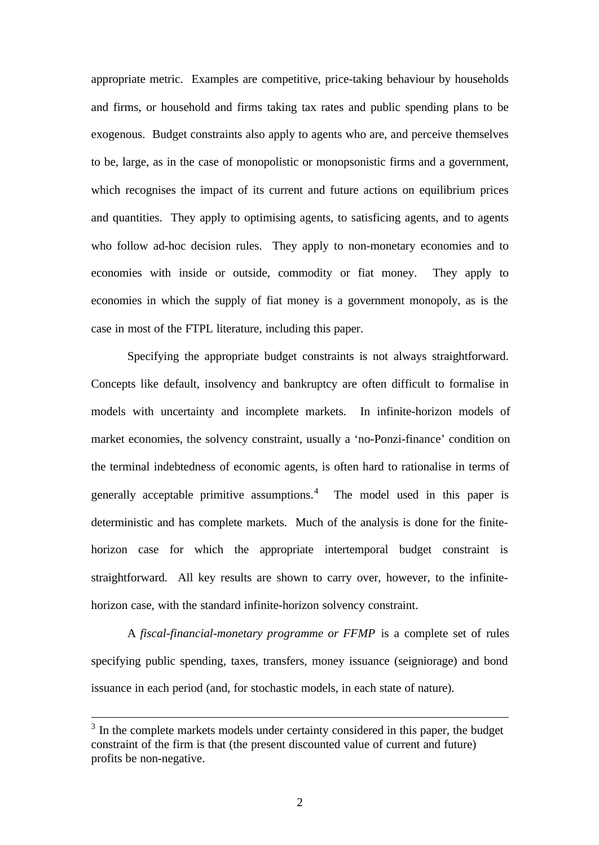appropriate metric. Examples are competitive, price-taking behaviour by households and firms, or household and firms taking tax rates and public spending plans to be exogenous. Budget constraints also apply to agents who are, and perceive themselves to be, large, as in the case of monopolistic or monopsonistic firms and a government, which recognises the impact of its current and future actions on equilibrium prices and quantities. They apply to optimising agents, to satisficing agents, and to agents who follow ad-hoc decision rules. They apply to non-monetary economies and to economies with inside or outside, commodity or fiat money. They apply to economies in which the supply of fiat money is a government monopoly, as is the case in most of the FTPL literature, including this paper.

Specifying the appropriate budget constraints is not always straightforward. Concepts like default, insolvency and bankruptcy are often difficult to formalise in models with uncertainty and incomplete markets. In infinite-horizon models of market economies, the solvency constraint, usually a 'no-Ponzi-finance' condition on the terminal indebtedness of economic agents, is often hard to rationalise in terms of generally acceptable primitive assumptions. The model used in this paper is deterministic and has complete markets. Much of the analysis is done for the finitehorizon case for which the appropriate intertemporal budget constraint is straightforward. All key results are shown to carry over, however, to the infinitehorizon case, with the standard infinite-horizon solvency constraint.

A *fiscal-financial-monetary programme or FFMP* is a complete set of rules specifying public spending, taxes, transfers, money issuance (seigniorage) and bond issuance in each period (and, for stochastic models, in each state of nature).

<sup>&</sup>lt;sup>3</sup> In the complete markets models under certainty considered in this paper, the budget constraint of the firm is that (the present discounted value of current and future) profits be non-negative.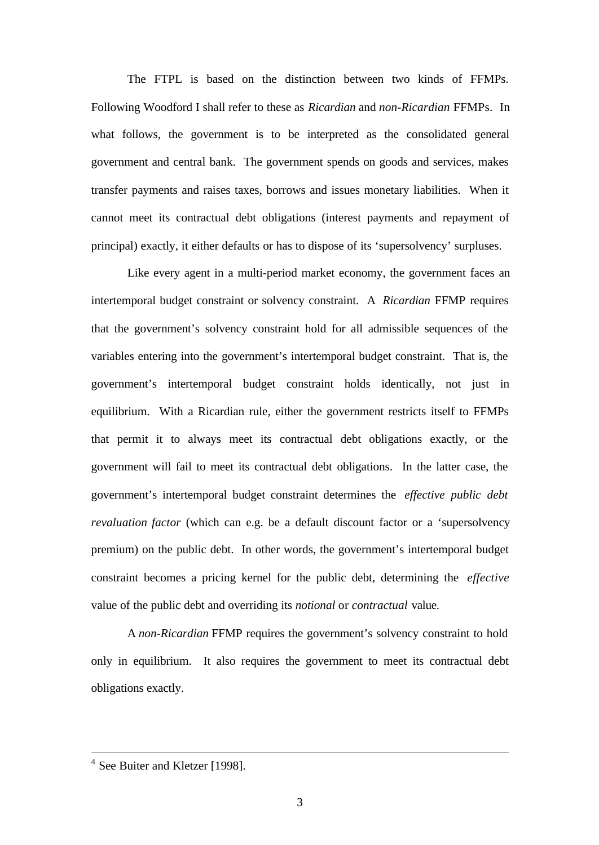The FTPL is based on the distinction between two kinds of FFMPs. Following Woodford I shall refer to these as *Ricardian* and *non-Ricardian* FFMPs. In what follows, the government is to be interpreted as the consolidated general government and central bank. The government spends on goods and services, makes transfer payments and raises taxes, borrows and issues monetary liabilities. When it cannot meet its contractual debt obligations (interest payments and repayment of principal) exactly, it either defaults or has to dispose of its 'supersolvency' surpluses.

Like every agent in a multi-period market economy, the government faces an intertemporal budget constraint or solvency constraint. A *Ricardian* FFMP requires that the government's solvency constraint hold for all admissible sequences of the variables entering into the government's intertemporal budget constraint. That is, the government's intertemporal budget constraint holds identically, not just in equilibrium. With a Ricardian rule, either the government restricts itself to FFMPs that permit it to always meet its contractual debt obligations exactly, or the government will fail to meet its contractual debt obligations. In the latter case, the government's intertemporal budget constraint determines the *effective public debt revaluation factor* (which can e.g. be a default discount factor or a 'supersolvency premium) on the public debt. In other words, the government's intertemporal budget constraint becomes a pricing kernel for the public debt, determining the *effective* value of the public debt and overriding its *notional* or *contractual* value.

A *non-Ricardian* FFMP requires the government's solvency constraint to hold only in equilibrium. It also requires the government to meet its contractual debt obligations exactly.

<sup>&</sup>lt;sup>4</sup> See Buiter and Kletzer [1998].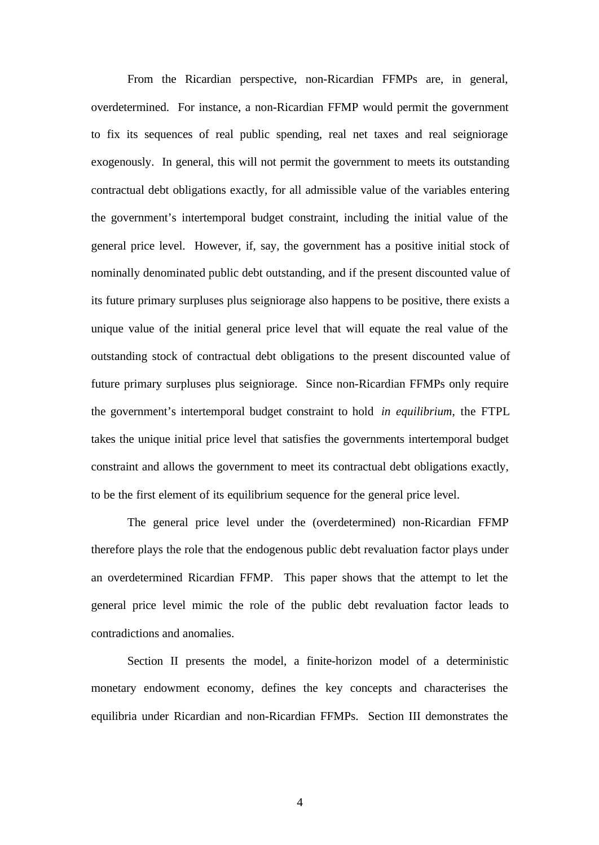From the Ricardian perspective, non-Ricardian FFMPs are, in general, overdetermined. For instance, a non-Ricardian FFMP would permit the government to fix its sequences of real public spending, real net taxes and real seigniorage exogenously. In general, this will not permit the government to meets its outstanding contractual debt obligations exactly, for all admissible value of the variables entering the government's intertemporal budget constraint, including the initial value of the general price level. However, if, say, the government has a positive initial stock of nominally denominated public debt outstanding, and if the present discounted value of its future primary surpluses plus seigniorage also happens to be positive, there exists a unique value of the initial general price level that will equate the real value of the outstanding stock of contractual debt obligations to the present discounted value of future primary surpluses plus seigniorage. Since non-Ricardian FFMPs only require the government's intertemporal budget constraint to hold *in equilibrium*, the FTPL takes the unique initial price level that satisfies the governments intertemporal budget constraint and allows the government to meet its contractual debt obligations exactly, to be the first element of its equilibrium sequence for the general price level.

The general price level under the (overdetermined) non-Ricardian FFMP therefore plays the role that the endogenous public debt revaluation factor plays under an overdetermined Ricardian FFMP. This paper shows that the attempt to let the general price level mimic the role of the public debt revaluation factor leads to contradictions and anomalies.

Section II presents the model, a finite-horizon model of a deterministic monetary endowment economy, defines the key concepts and characterises the equilibria under Ricardian and non-Ricardian FFMPs. Section III demonstrates the

4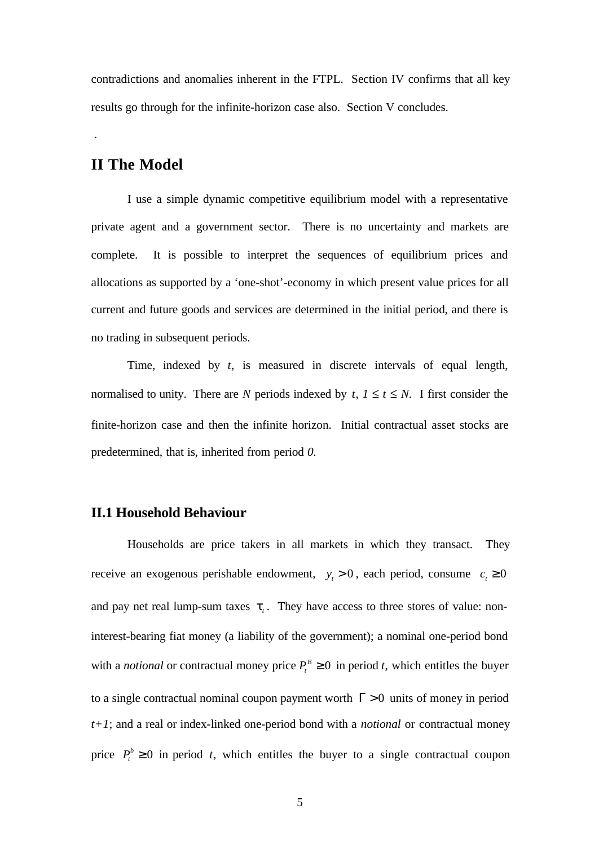contradictions and anomalies inherent in the FTPL. Section IV confirms that all key results go through for the infinite-horizon case also. Section V concludes.

### **II The Model**

.

I use a simple dynamic competitive equilibrium model with a representative private agent and a government sector. There is no uncertainty and markets are complete. It is possible to interpret the sequences of equilibrium prices and allocations as supported by a 'one-shot'-economy in which present value prices for all current and future goods and services are determined in the initial period, and there is no trading in subsequent periods.

Time, indexed by *t*, is measured in discrete intervals of equal length, normalised to unity. There are *N* periods indexed by *t*,  $1 \le t \le N$ . I first consider the finite-horizon case and then the infinite horizon. Initial contractual asset stocks are predetermined, that is, inherited from period *0.*

### **II.1 Household Behaviour**

Households are price takers in all markets in which they transact. They receive an exogenous perishable endowment,  $y_t > 0$ , each period, consume  $c_t \ge 0$ and pay net real lump-sum taxes  $t<sub>t</sub>$ . They have access to three stores of value: noninterest-bearing fiat money (a liability of the government); a nominal one-period bond with a *notional* or contractual money price  $P_t^B \ge 0$  in period *t*, which entitles the buyer to a single contractual nominal coupon payment worth  $\Gamma > 0$  units of money in period *t+1*; and a real or index-linked one-period bond with a *notional* or contractual money price  $P_t^b \ge 0$  in period *t*, which entitles the buyer to a single contractual coupon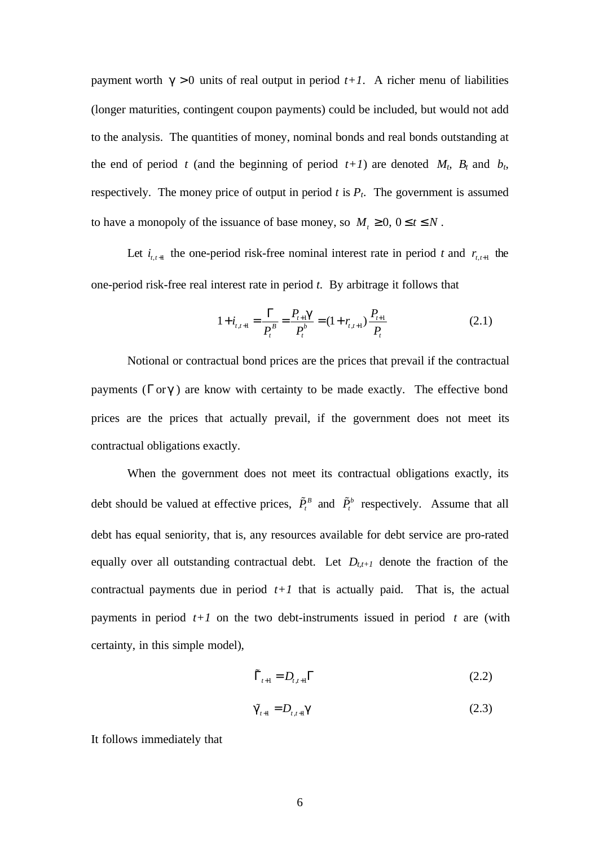payment worth  $g > 0$  units of real output in period  $t+1$ . A richer menu of liabilities (longer maturities, contingent coupon payments) could be included, but would not add to the analysis. The quantities of money, nominal bonds and real bonds outstanding at the end of period *t* (and the beginning of period  $t+1$ ) are denoted  $M_t$ ,  $B_t$  and  $b_t$ , respectively. The money price of output in period  $t$  is  $P_t$ . The government is assumed to have a monopoly of the issuance of base money, so  $M_t \geq 0$ ,  $0 \leq t \leq N$ .

Let  $i_{t,t+1}$  the one-period risk-free nominal interest rate in period t and  $r_{t,t+1}$  the one-period risk-free real interest rate in period *t.* By arbitrage it follows that

$$
1 + i_{t,t+1} = \frac{\Gamma}{P_t^B} = \frac{P_{t+1}g}{P_t^b} = (1 + r_{t,t+1})\frac{P_{t+1}}{P_t}
$$
(2.1)

Notional or contractual bond prices are the prices that prevail if the contractual payments ( $\Gamma$  or  $g$ ) are know with certainty to be made exactly. The effective bond prices are the prices that actually prevail, if the government does not meet its contractual obligations exactly.

When the government does not meet its contractual obligations exactly, its debt should be valued at effective prices,  $\tilde{P}^B_t$  and  $\tilde{P}^b_t$  respectively. Assume that all debt has equal seniority, that is, any resources available for debt service are pro-rated equally over all outstanding contractual debt. Let  $D_{t,t+1}$  denote the fraction of the contractual payments due in period  $t+1$  that is actually paid. That is, the actual payments in period  $t+1$  on the two debt-instruments issued in period  $t$  are (with certainty, in this simple model),

$$
\tilde{\Gamma}_{t+1} = D_{t,t+1} \Gamma \tag{2.2}
$$

$$
\tilde{\mathbf{g}}_{t+1} = D_{t,t+1} \mathbf{g} \tag{2.3}
$$

It follows immediately that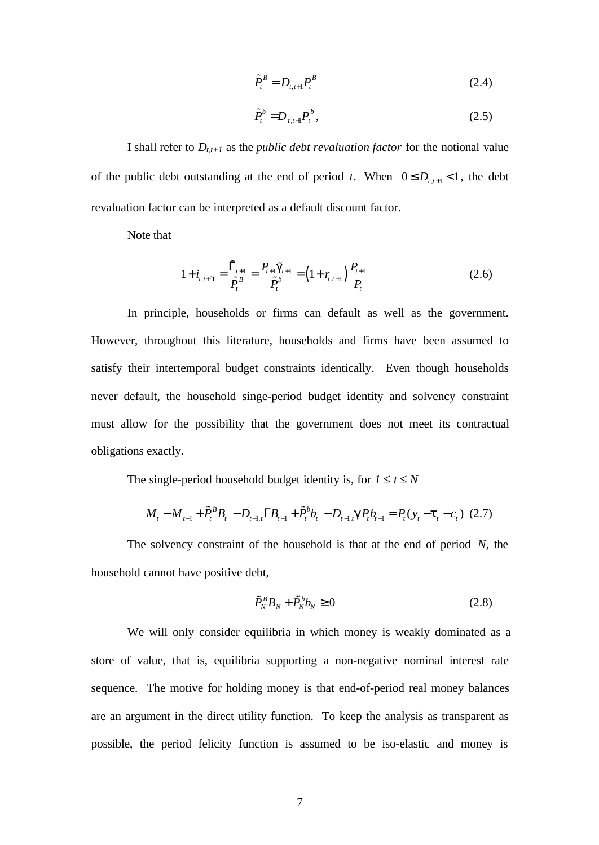$$
\tilde{P}_t^B = D_{t,t+1} P_t^B \tag{2.4}
$$

$$
\tilde{P}_t^b = D_{t,t+1} P_t^b, \qquad (2.5)
$$

I shall refer to  $D_{t,t+1}$  as the *public debt revaluation factor* for the notional value of the public debt outstanding at the end of period *t*. When  $0 \le D_{t,t+1} < 1$ , the debt revaluation factor can be interpreted as a default discount factor.

Note that

$$
1 + i_{t,t+1} = \frac{\tilde{\Gamma}_{t+1}}{\tilde{P}_t^B} = \frac{P_{t+1}\tilde{g}_{t+1}}{\tilde{P}_t^b} = \left(1 + r_{t,t+1}\right)\frac{P_{t+1}}{P_t}
$$
(2.6)

In principle, households or firms can default as well as the government. However, throughout this literature, households and firms have been assumed to satisfy their intertemporal budget constraints identically. Even though households never default, the household singe-period budget identity and solvency constraint must allow for the possibility that the government does not meet its contractual obligations exactly.

The single-period household budget identity is, for  $1 \le t \le N$ 

$$
M_t - M_{t-1} + \tilde{P}_t^B B_t - D_{t-1,t} \Gamma B_{t-1} + \tilde{P}_t^b b_t - D_{t-1,t} g P_t b_{t-1} = P_t (y_t - t_t - c_t) \tag{2.7}
$$

The solvency constraint of the household is that at the end of period *N*, the household cannot have positive debt,

$$
\tilde{P}_N^B B_N + \tilde{P}_N^b b_N \ge 0
$$
\n(2.8)

We will only consider equilibria in which money is weakly dominated as a store of value, that is, equilibria supporting a non-negative nominal interest rate sequence. The motive for holding money is that end-of-period real money balances are an argument in the direct utility function. To keep the analysis as transparent as possible, the period felicity function is assumed to be iso-elastic and money is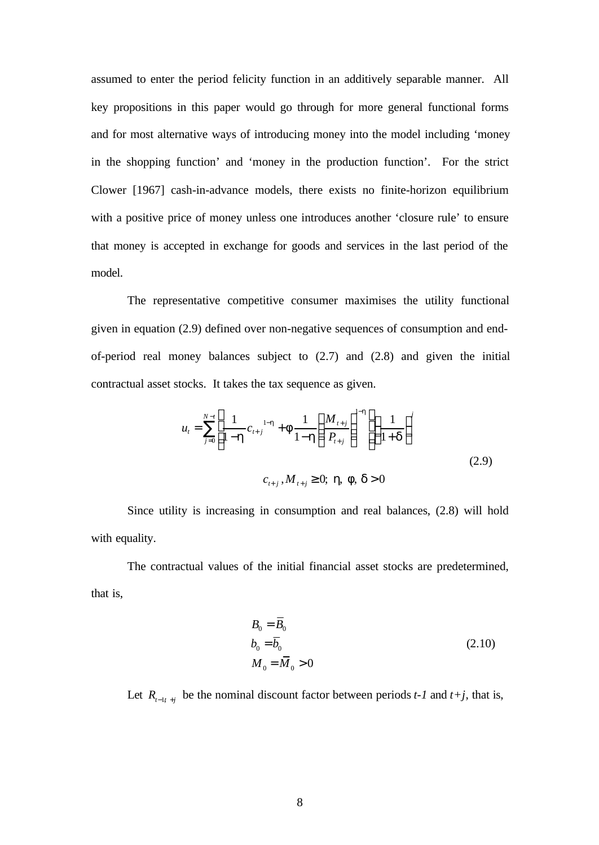assumed to enter the period felicity function in an additively separable manner. All key propositions in this paper would go through for more general functional forms and for most alternative ways of introducing money into the model including 'money in the shopping function' and 'money in the production function'. For the strict Clower [1967] cash-in-advance models, there exists no finite-horizon equilibrium with a positive price of money unless one introduces another 'closure rule' to ensure that money is accepted in exchange for goods and services in the last period of the model.

The representative competitive consumer maximises the utility functional given in equation (2.9) defined over non-negative sequences of consumption and endof-period real money balances subject to (2.7) and (2.8) and given the initial contractual asset stocks. It takes the tax sequence as given.

$$
u_{t} = \sum_{j=0}^{N-t} \left[ \frac{1}{1 - h} c_{t+j}^{1-h} + f \frac{1}{1 - h} \left( \frac{M_{t+j}}{P_{t+j}} \right)^{1-h} \right] \left( \frac{1}{1 + d} \right)^{j}
$$
  

$$
c_{t+j}, M_{t+j} \ge 0; \mathbf{h}, \mathbf{f}, \mathbf{d} > 0
$$
 (2.9)

Since utility is increasing in consumption and real balances, (2.8) will hold with equality.

The contractual values of the initial financial asset stocks are predetermined, that is,

$$
B_0 = \overline{B}_0
$$
  
\n
$$
b_0 = \overline{b}_0
$$
  
\n
$$
M_0 = \overline{M}_0 > 0
$$
\n(2.10)

Let  $R_{t-t}$  be the nominal discount factor between periods *t-1* and *t+j*, that is,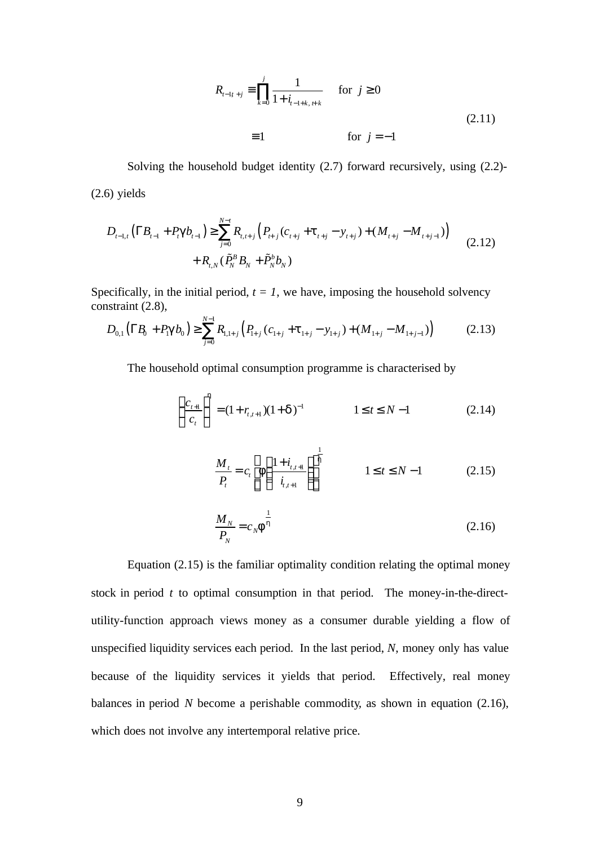$$
R_{t-1t+j} \equiv \prod_{k=0}^{j} \frac{1}{1 + i_{t-1+k, t+k}}
$$
 for  $j \ge 0$   

$$
\equiv 1
$$
 for  $j = -1$  (2.11)

Solving the household budget identity (2.7) forward recursively, using (2.2)- (2.6) yields

$$
D_{t-1,t} \left( \Gamma B_{t-1} + P_t \mathbf{g} b_{t-1} \right) \ge \sum_{j=0}^{N-t} R_{t,t+j} \left( P_{t+j} \left( c_{t+j} + \mathbf{t}_{t+j} - y_{t+j} \right) + \left( M_{t+j} - M_{t+j-1} \right) \right) + R_{t,N} \left( \tilde{P}_N^B B_N + \tilde{P}_N^b b_N \right)
$$
(2.12)

Specifically, in the initial period,  $t = 1$ , we have, imposing the household solvency constraint (2.8),

$$
D_{0,1}(\Gamma R_{0} + P_{\mathbf{g}}B_{0}) \geq \sum_{j=0}^{N-1} R_{1,1+j} (P_{1+j}(c_{1+j} + t_{1+j} - y_{1+j}) + (M_{1+j} - M_{1+j-1})) \tag{2.13}
$$

The household optimal consumption programme is characterised by

$$
\left(\frac{c_{t+1}}{c_t}\right)^h = (1 + r_{t,t+1})(1 + d)^{-1} \qquad 1 \le t \le N - 1 \qquad (2.14)
$$

$$
\frac{M_t}{P_t} = c_t \left[ f \left( \frac{1 + i_{t,t+1}}{i_{t,t+1}} \right) \right]^{\frac{1}{h}}
$$
\n
$$
1 \le t \le N - 1
$$
\n(2.15)

$$
\frac{M_N}{P_N} = c_N \mathbf{f}^{\frac{1}{h}}
$$
\n(2.16)

Equation (2.15) is the familiar optimality condition relating the optimal money stock in period *t* to optimal consumption in that period. The money-in-the-directutility-function approach views money as a consumer durable yielding a flow of unspecified liquidity services each period. In the last period, *N*, money only has value because of the liquidity services it yields that period. Effectively, real money balances in period *N* become a perishable commodity*,* as shown in equation (2.16), which does not involve any intertemporal relative price.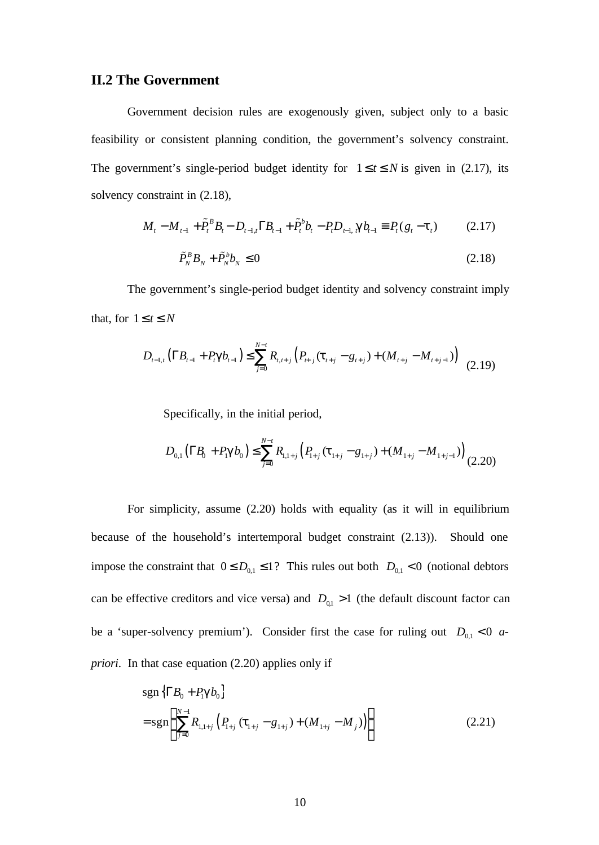### **II.2 The Government**

Government decision rules are exogenously given, subject only to a basic feasibility or consistent planning condition, the government's solvency constraint. The government's single-period budget identity for  $1 \le t \le N$  is given in (2.17), its solvency constraint in (2.18),

$$
M_t - M_{t-1} + \tilde{P}_t^B B_t - D_{t-1,t} \Gamma B_{t-1} + \tilde{P}_t^b b_t - P_t D_{t-1,t} \mathbf{g} b_{t-1} \equiv P_t (g_t - \mathbf{t}_t)
$$
(2.17)

$$
\tilde{P}_N^B B_N + \tilde{P}_N^b b_N \le 0 \tag{2.18}
$$

The government's single-period budget identity and solvency constraint imply that, for  $1 \le t \le N$ 

$$
D_{t-1,t} \left( \Gamma B_{t-1} + P_t \mathbf{g} b_{t-1} \right) \le \sum_{j=0}^{N-t} R_{t,t+j} \left( P_{t+j} \left( \mathbf{t}_{t+j} - g_{t+j} \right) + \left( M_{t+j} - M_{t+j-1} \right) \right) \tag{2.19}
$$

Specifically, in the initial period,

$$
D_{0,1}(\Gamma B_0 + P_{\mathbf{S}} B_0) \le \sum_{j=0}^{N-t} R_{1,1+j} (P_{1+j}(\mathbf{t}_{1+j} - g_{1+j}) + (M_{1+j} - M_{1+j-1}))
$$
(2.20)

For simplicity, assume (2.20) holds with equality (as it will in equilibrium because of the household's intertemporal budget constraint (2.13)). Should one impose the constraint that  $0 \le D_{0,1} \le 1$ ? This rules out both  $D_{0,1} < 0$  (notional debtors can be effective creditors and vice versa) and  $D_{01} > 1$  (the default discount factor can be a 'super-solvency premium'). Consider first the case for ruling out  $D_{0,1} < 0$  *apriori*. In that case equation (2.20) applies only if

$$
sgn\left\{ \Gamma B_{0} + P_{i} \mathbf{g} b_{0} \right\}
$$
  
= 
$$
sgn\left\{ \sum_{j=0}^{N-1} R_{1,1+j} \left( P_{1+j} \left( \mathbf{t}_{1+j} - g_{1+j} \right) + \left( M_{1+j} - M_{j} \right) \right) \right\}
$$
 (2.21)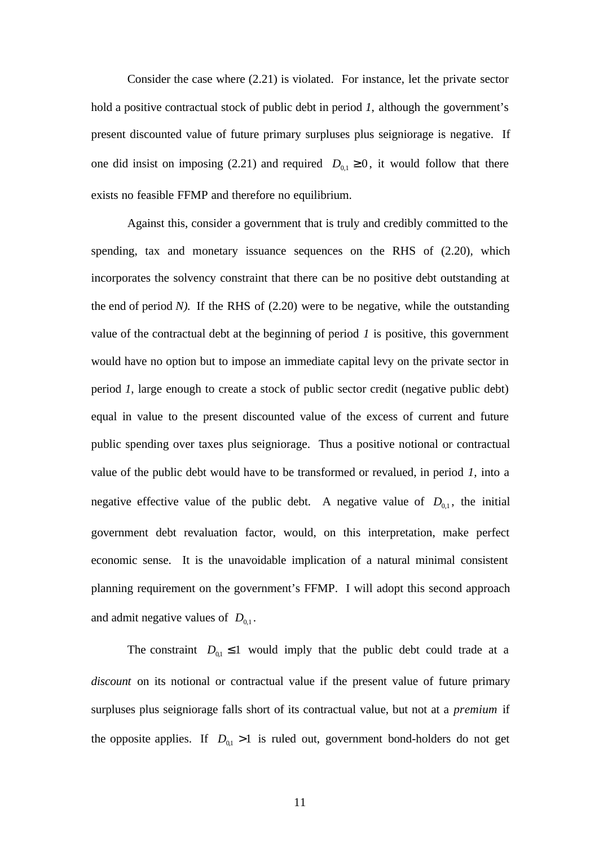Consider the case where (2.21) is violated. For instance, let the private sector hold a positive contractual stock of public debt in period *1*, although the government's present discounted value of future primary surpluses plus seigniorage is negative. If one did insist on imposing (2.21) and required  $D_{0,1} \ge 0$ , it would follow that there exists no feasible FFMP and therefore no equilibrium.

Against this, consider a government that is truly and credibly committed to the spending, tax and monetary issuance sequences on the RHS of (2.20), which incorporates the solvency constraint that there can be no positive debt outstanding at the end of period  $N$ ). If the RHS of  $(2.20)$  were to be negative, while the outstanding value of the contractual debt at the beginning of period *1* is positive, this government would have no option but to impose an immediate capital levy on the private sector in period *1*, large enough to create a stock of public sector credit (negative public debt) equal in value to the present discounted value of the excess of current and future public spending over taxes plus seigniorage. Thus a positive notional or contractual value of the public debt would have to be transformed or revalued, in period *1,* into a negative effective value of the public debt. A negative value of  $D_{0,1}$ , the initial government debt revaluation factor, would, on this interpretation, make perfect economic sense. It is the unavoidable implication of a natural minimal consistent planning requirement on the government's FFMP. I will adopt this second approach and admit negative values of  $D_{0,1}$ .

The constraint  $D_{0,1} \leq 1$  would imply that the public debt could trade at a *discount* on its notional or contractual value if the present value of future primary surpluses plus seigniorage falls short of its contractual value, but not at a *premium* if the opposite applies. If  $D_{0,1} > 1$  is ruled out, government bond-holders do not get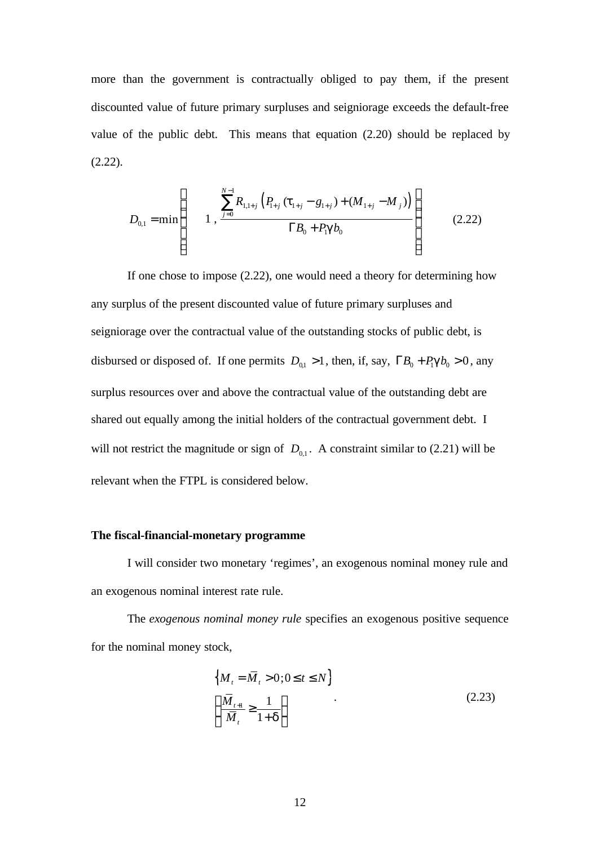more than the government is contractually obliged to pay them, if the present discounted value of future primary surpluses and seigniorage exceeds the default-free value of the public debt. This means that equation (2.20) should be replaced by (2.22).

$$
D_{0,1} = \min \left\{ \begin{array}{c} \sum_{j=0}^{N-1} R_{1,1+j} \left( P_{1+j} \left( t_{1+j} - g_{1+j} \right) + \left( M_{1+j} - M_{j} \right) \right) \\ 1, \quad \frac{N-1}{N} \left( P_{0} + P_{0} \right) \end{array} \right\} \tag{2.22}
$$

If one chose to impose (2.22), one would need a theory for determining how any surplus of the present discounted value of future primary surpluses and seigniorage over the contractual value of the outstanding stocks of public debt, is disbursed or disposed of. If one permits  $D_{0,1} > 1$ , then, if, say,  $\Gamma B_0 + P_1 \mathbf{g} b_0 > 0$ , any surplus resources over and above the contractual value of the outstanding debt are shared out equally among the initial holders of the contractual government debt. I will not restrict the magnitude or sign of  $D_{0,1}$ . A constraint similar to (2.21) will be relevant when the FTPL is considered below.

#### **The fiscal-financial-monetary programme**

I will consider two monetary 'regimes', an exogenous nominal money rule and an exogenous nominal interest rate rule.

The *exogenous nominal money rule* specifies an exogenous positive sequence for the nominal money stock,

$$
\left\{ M_t = \overline{M}_t > 0; 0 \le t \le N \right\}
$$
\n
$$
\left\{ \frac{\overline{M}_{t+1}}{\overline{M}_t} \ge \frac{1}{1+d} \right\}
$$
\n(2.23)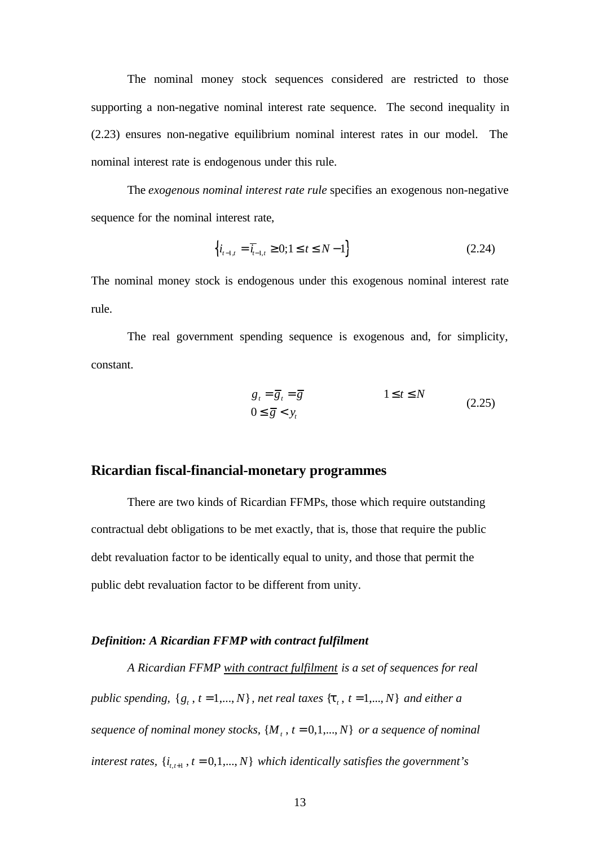The nominal money stock sequences considered are restricted to those supporting a non-negative nominal interest rate sequence. The second inequality in (2.23) ensures non-negative equilibrium nominal interest rates in our model. The nominal interest rate is endogenous under this rule.

The *exogenous nominal interest rate rule* specifies an exogenous non-negative sequence for the nominal interest rate,

$$
\left\{ i_{t-1,t} = \overline{i}_{t-1,t} \ge 0; 1 \le t \le N-1 \right\}
$$
\n(2.24)

The nominal money stock is endogenous under this exogenous nominal interest rate rule.

The real government spending sequence is exogenous and, for simplicity, constant.

$$
g_t = \overline{g}_t = \overline{g}
$$
  
 
$$
0 \le \overline{g} < y_t
$$
  
(2.25)

### **Ricardian fiscal-financial-monetary programmes**

There are two kinds of Ricardian FFMPs, those which require outstanding contractual debt obligations to be met exactly, that is, those that require the public debt revaluation factor to be identically equal to unity, and those that permit the public debt revaluation factor to be different from unity.

#### *Definition: A Ricardian FFMP with contract fulfilment*

*A Ricardian FFMP with contract fulfilment is a set of sequences for real public spending,*  $\{g_t, t = 1, ..., N\}$ , *net real taxes*  $\{t_t, t = 1, ..., N\}$  *and either a*  $sequence of nominal money stocks,  $\{M_t, t = 0, 1, ..., N\}$  or a sequence of nominal$ *interest rates,*  $\{i_{t,t+1}, t = 0,1,...,N\}$  which identically satisfies the government's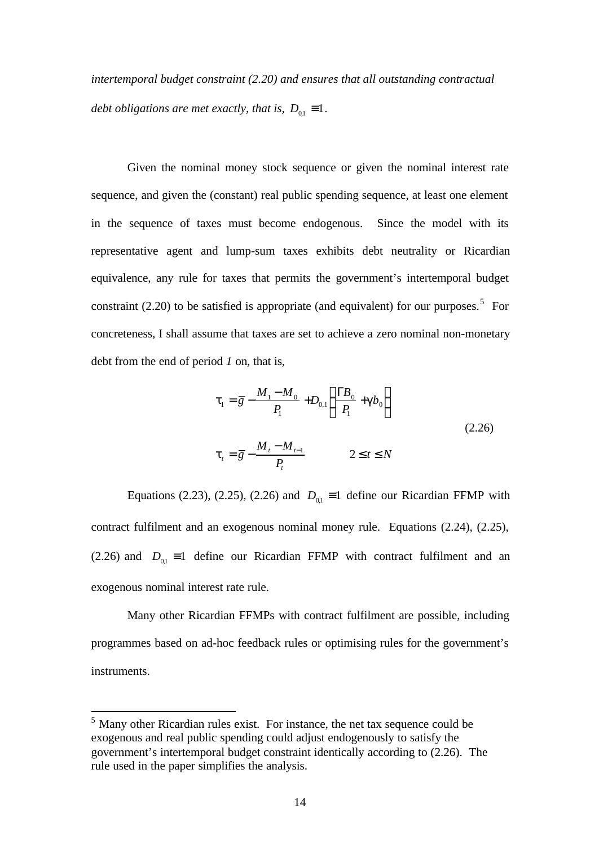*intertemporal budget constraint (2.20) and ensures that all outstanding contractual debt obligations are met exactly, that is,*  $D_{0,1} \equiv 1$ *.* 

Given the nominal money stock sequence or given the nominal interest rate sequence, and given the (constant) real public spending sequence, at least one element in the sequence of taxes must become endogenous. Since the model with its representative agent and lump-sum taxes exhibits debt neutrality or Ricardian equivalence, any rule for taxes that permits the government's intertemporal budget constraint (2.20) to be satisfied is appropriate (and equivalent) for our purposes.<sup>5</sup> For concreteness, I shall assume that taxes are set to achieve a zero nominal non-monetary debt from the end of period *1* on, that is,

$$
t_{1} = \overline{g} - \frac{M_{1} - M_{0}}{P_{1}} + D_{0,1} \left( \frac{\Gamma B_{0}}{P_{1}} + g b_{0} \right)
$$
  

$$
t_{t} = \overline{g} - \frac{M_{t} - M_{t-1}}{P_{t}}
$$
  $2 \le t \le N$  (2.26)

Equations (2.23), (2.25), (2.26) and  $D_{0,1} \equiv 1$  define our Ricardian FFMP with contract fulfilment and an exogenous nominal money rule. Equations (2.24), (2.25), (2.26) and  $D_{01} = 1$  define our Ricardian FFMP with contract fulfilment and an exogenous nominal interest rate rule.

Many other Ricardian FFMPs with contract fulfilment are possible, including programmes based on ad-hoc feedback rules or optimising rules for the government's instruments.

 $<sup>5</sup>$  Many other Ricardian rules exist. For instance, the net tax sequence could be</sup> exogenous and real public spending could adjust endogenously to satisfy the government's intertemporal budget constraint identically according to (2.26). The rule used in the paper simplifies the analysis.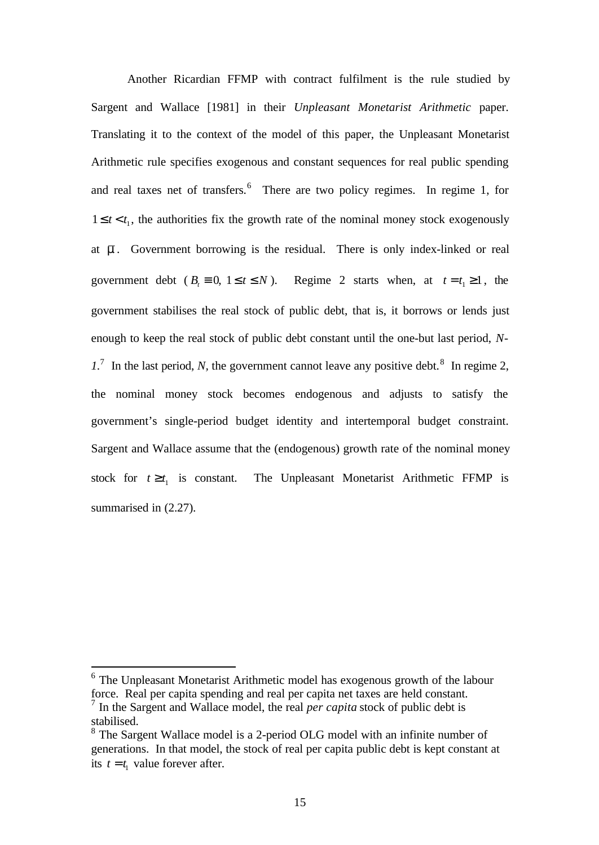Another Ricardian FFMP with contract fulfilment is the rule studied by Sargent and Wallace [1981] in their *Unpleasant Monetarist Arithmetic* paper. Translating it to the context of the model of this paper, the Unpleasant Monetarist Arithmetic rule specifies exogenous and constant sequences for real public spending and real taxes net of transfers.<sup>6</sup> There are two policy regimes. In regime 1, for  $1 \le t < t_1$ , the authorities fix the growth rate of the nominal money stock exogenously at  $\overline{m}$ . Government borrowing is the residual. There is only index-linked or real government debt ( $B_t \equiv 0$ ,  $1 \le t \le N$ ). Regime 2 starts when, at  $t = t_1 \ge 1$ , the government stabilises the real stock of public debt, that is, it borrows or lends just enough to keep the real stock of public debt constant until the one-but last period, *N-* $1<sup>7</sup>$  In the last period, *N*, the government cannot leave any positive debt.<sup>8</sup> In regime 2, the nominal money stock becomes endogenous and adjusts to satisfy the government's single-period budget identity and intertemporal budget constraint. Sargent and Wallace assume that the (endogenous) growth rate of the nominal money stock for  $t \geq t_1$  is constant. The Unpleasant Monetarist Arithmetic FFMP is summarised in  $(2.27)$ .

<sup>&</sup>lt;sup>6</sup> The Unpleasant Monetarist Arithmetic model has exogenous growth of the labour force. Real per capita spending and real per capita net taxes are held constant. 7 In the Sargent and Wallace model, the real *per capita* stock of public debt is

stabilised.

<sup>&</sup>lt;sup>8</sup> The Sargent Wallace model is a 2-period OLG model with an infinite number of generations. In that model, the stock of real per capita public debt is kept constant at its  $t = t_1$  value forever after.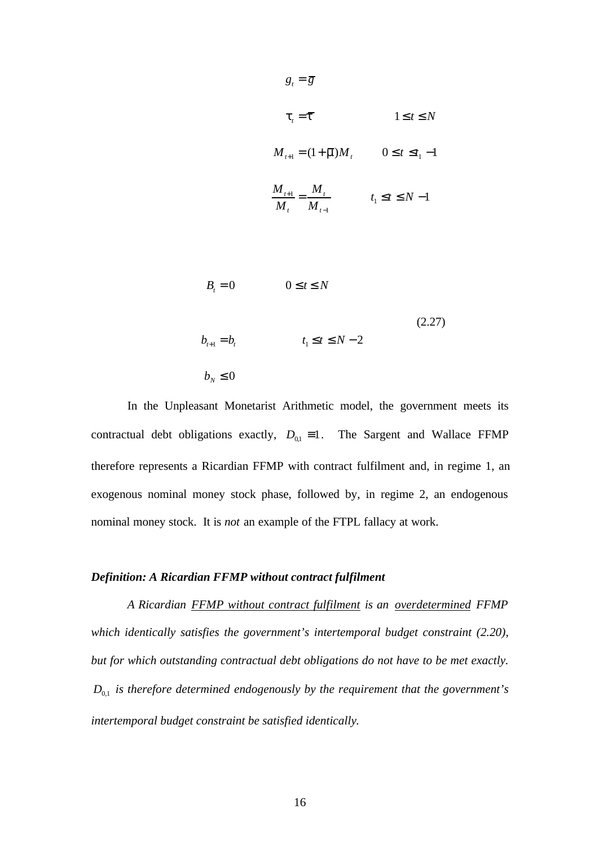$$
g_{t} = \overline{g}
$$
\n
$$
t_{t} = \overline{t}
$$
\n
$$
1 \leq t \leq N
$$
\n
$$
M_{t+1} = (1 + \overline{m})M_{t}
$$
\n
$$
0 \leq t \leq t_{1} - 1
$$
\n
$$
\frac{M_{t+1}}{M_{t}} = \frac{M_{t}}{M_{t-1}}
$$
\n
$$
t_{1} \leq t \leq N - 1
$$
\n
$$
B_{t} = 0
$$
\n
$$
0 \leq t \leq N
$$
\n
$$
t_{1} \leq t \leq N - 2
$$
\n
$$
(2.27)
$$

 $b_N \leq 0$ 

In the Unpleasant Monetarist Arithmetic model, the government meets its contractual debt obligations exactly,  $D_{01} = 1$ . The Sargent and Wallace FFMP therefore represents a Ricardian FFMP with contract fulfilment and, in regime 1, an exogenous nominal money stock phase, followed by, in regime 2, an endogenous nominal money stock. It is *not* an example of the FTPL fallacy at work.

#### *Definition: A Ricardian FFMP without contract fulfilment*

*A Ricardian FFMP without contract fulfilment is an overdetermined FFMP which identically satisfies the government's intertemporal budget constraint (2.20), but for which outstanding contractual debt obligations do not have to be met exactly.*  $D_{0,1}$  *is therefore determined endogenously by the requirement that the government's intertemporal budget constraint be satisfied identically.*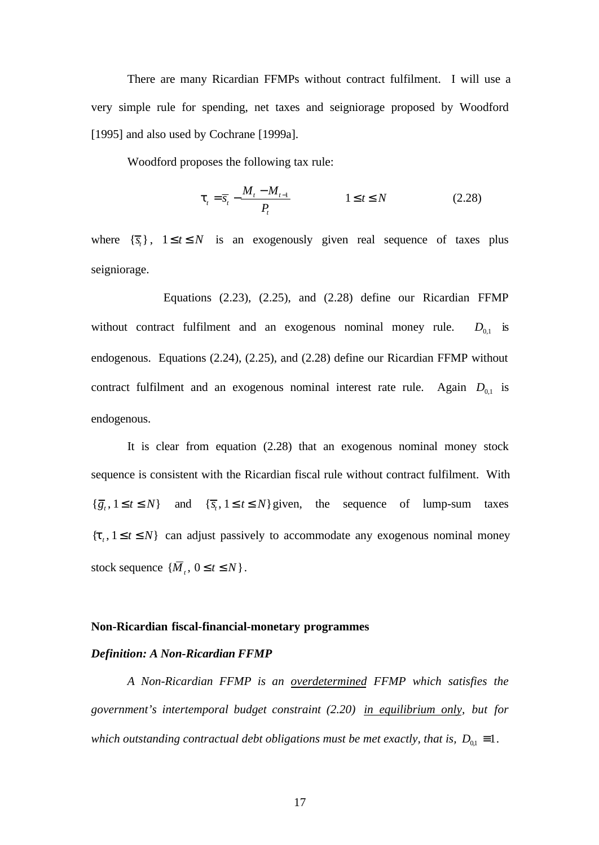There are many Ricardian FFMPs without contract fulfilment. I will use a very simple rule for spending, net taxes and seigniorage proposed by Woodford [1995] and also used by Cochrane [1999a].

Woodford proposes the following tax rule:

$$
\boldsymbol{t}_{t} = \overline{s}_{t} - \frac{M_{t} - M_{t-1}}{P_{t}} \qquad \qquad 1 \leq t \leq N \qquad (2.28)
$$

where  $\{\overline{s}_t\}$ ,  $1 \le t \le N$  is an exogenously given real sequence of taxes plus seigniorage.

Equations (2.23), (2.25), and (2.28) define our Ricardian FFMP without contract fulfilment and an exogenous nominal money rule.  $D_{0,1}$  is endogenous. Equations (2.24), (2.25), and (2.28) define our Ricardian FFMP without contract fulfilment and an exogenous nominal interest rate rule. Again  $D_{0,1}$  is endogenous.

It is clear from equation (2.28) that an exogenous nominal money stock sequence is consistent with the Ricardian fiscal rule without contract fulfilment. With  $\{\overline{g}_t, 1 \le t \le N\}$  and  $\{\overline{s}_t, 1 \le t \le N\}$  given, the sequence of lump-sum taxes  ${t, 1 \le t \le N}$  can adjust passively to accommodate any exogenous nominal money stock sequence  $\{\overline{M}_t, 0 \le t \le N\}$ .

#### **Non-Ricardian fiscal-financial-monetary programmes**

#### *Definition: A Non-Ricardian FFMP*

*A Non-Ricardian FFMP is an overdetermined FFMP which satisfies the government's intertemporal budget constraint (2.20) in equilibrium only, but for which outstanding contractual debt obligations must be met exactly, that is,*  $D_{01} \equiv 1$ *.*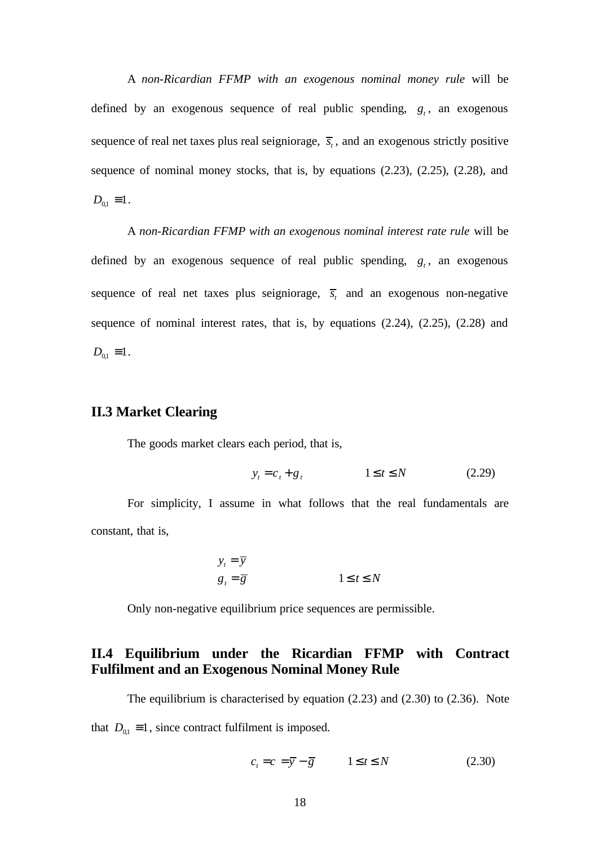A *non-Ricardian FFMP with an exogenous nominal money rule* will be defined by an exogenous sequence of real public spending,  $g_t$ , an exogenous sequence of real net taxes plus real seigniorage,  $\overline{s_t}$ , and an exogenous strictly positive sequence of nominal money stocks, that is, by equations (2.23), (2.25), (2.28), and  $D_{0,1} \equiv 1$ .

A *non-Ricardian FFMP with an exogenous nominal interest rate rule* will be defined by an exogenous sequence of real public spending,  $g_t$ , an exogenous sequence of real net taxes plus seigniorage,  $\overline{s_i}$  and an exogenous non-negative sequence of nominal interest rates, that is, by equations (2.24), (2.25), (2.28) and  $D_{01} = 1$ .

### **II.3 Market Clearing**

The goods market clears each period, that is,

$$
y_t = c_t + g_t \qquad \qquad 1 \le t \le N \tag{2.29}
$$

For simplicity, I assume in what follows that the real fundamentals are constant, that is,

$$
y_t = \overline{y}
$$
  

$$
g_t = \overline{g}
$$
  

$$
1 \le t \le N
$$

Only non-negative equilibrium price sequences are permissible.

### **II.4 Equilibrium under the Ricardian FFMP with Contract Fulfilment and an Exogenous Nominal Money Rule**

The equilibrium is characterised by equation (2.23) and (2.30) to (2.36). Note that  $D_{01} \equiv 1$ , since contract fulfilment is imposed.

$$
c_t = c = \overline{y} - \overline{g} \qquad 1 \le t \le N \tag{2.30}
$$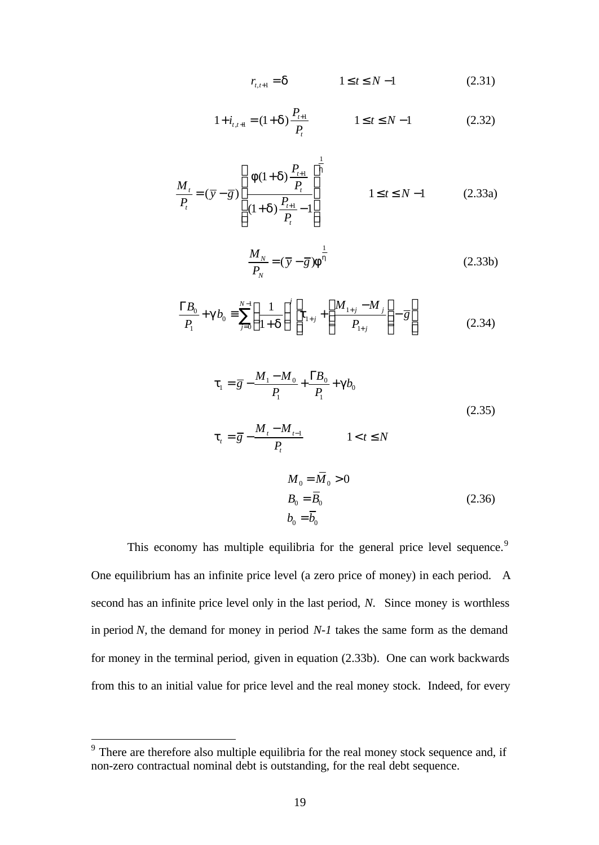$$
r_{t,t+1} = d \qquad \qquad 1 \le t \le N-1 \qquad (2.31)
$$

$$
1 + i_{t,t+1} = (1 + d) \frac{P_{t+1}}{P_t} \qquad 1 \le t \le N - 1 \qquad (2.32)
$$

$$
\frac{M_t}{P_t} = (\overline{y} - \overline{g}) \left[ \frac{f(1+d)\frac{P_{t+1}}{P_t}}{(1+d)\frac{P_{t+1}}{P_t} - 1} \right]^{\frac{1}{h}}
$$
\n $1 \le t \le N - 1$ \n(2.33a)

$$
\frac{M_N}{P_N} = (\overline{y} - \overline{g}) \mathbf{f}^{\frac{1}{h}}
$$
\n(2.33b)

$$
\frac{\Gamma B_0}{P_1} + \mathbf{g} b_0 \equiv \sum_{j=0}^{N-1} \left( \frac{1}{1+\mathbf{d}} \right)^j \left[ \mathbf{t}_{1+j} + \left( \frac{M_{1+j} - M_j}{P_{1+j}} \right) - \overline{g} \right]
$$
(2.34)

$$
t_{1} = \overline{g} - \frac{M_{1} - M_{0}}{P_{1}} + \frac{\Gamma B_{0}}{P_{1}} + gb_{0}
$$
\n
$$
t_{t} = \overline{g} - \frac{M_{t} - M_{t-1}}{P_{t}} \qquad 1 < t \le N
$$
\n
$$
M_{0} = \overline{M}_{0} > 0
$$
\n
$$
B_{0} = \overline{B}_{0}
$$
\n
$$
b_{0} = \overline{b}_{0}
$$
\n(2.36)

This economy has multiple equilibria for the general price level sequence.<sup>9</sup> One equilibrium has an infinite price level (a zero price of money) in each period. A second has an infinite price level only in the last period, *N*. Since money is worthless in period *N,* the demand for money in period *N-1* takes the same form as the demand for money in the terminal period*,* given in equation (2.33b). One can work backwards from this to an initial value for price level and the real money stock. Indeed, for every

 $9<sup>9</sup>$  There are therefore also multiple equilibria for the real money stock sequence and, if non-zero contractual nominal debt is outstanding, for the real debt sequence.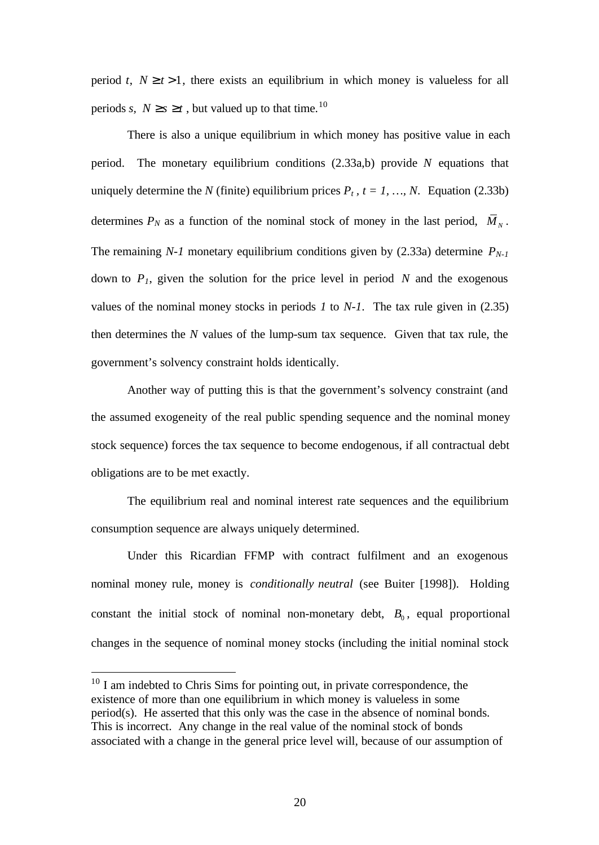period *t*,  $N \ge t > 1$ , there exists an equilibrium in which money is valueless for all periods *s*,  $N \ge s \ge t$ , but valued up to that time.<sup>10</sup>

There is also a unique equilibrium in which money has positive value in each period. The monetary equilibrium conditions (2.33a,b) provide *N* equations that uniquely determine the *N* (finite) equilibrium prices  $P_t$ ,  $t = 1, ..., N$ . Equation (2.33b) determines  $P_N$  as a function of the nominal stock of money in the last period,  $\overline{M}_N$ . The remaining *N-1* monetary equilibrium conditions given by (2.33a) determine  $P_{N-1}$ down to  $P<sub>1</sub>$ , given the solution for the price level in period  $N$  and the exogenous values of the nominal money stocks in periods *1* to *N-1*. The tax rule given in (2.35) then determines the *N* values of the lump-sum tax sequence. Given that tax rule, the government's solvency constraint holds identically.

Another way of putting this is that the government's solvency constraint (and the assumed exogeneity of the real public spending sequence and the nominal money stock sequence) forces the tax sequence to become endogenous, if all contractual debt obligations are to be met exactly.

The equilibrium real and nominal interest rate sequences and the equilibrium consumption sequence are always uniquely determined.

Under this Ricardian FFMP with contract fulfilment and an exogenous nominal money rule, money is *conditionally neutral* (see Buiter [1998]). Holding constant the initial stock of nominal non-monetary debt,  $B_0$ , equal proportional changes in the sequence of nominal money stocks (including the initial nominal stock

 $10$  I am indebted to Chris Sims for pointing out, in private correspondence, the existence of more than one equilibrium in which money is valueless in some period(s). He asserted that this only was the case in the absence of nominal bonds. This is incorrect. Any change in the real value of the nominal stock of bonds associated with a change in the general price level will, because of our assumption of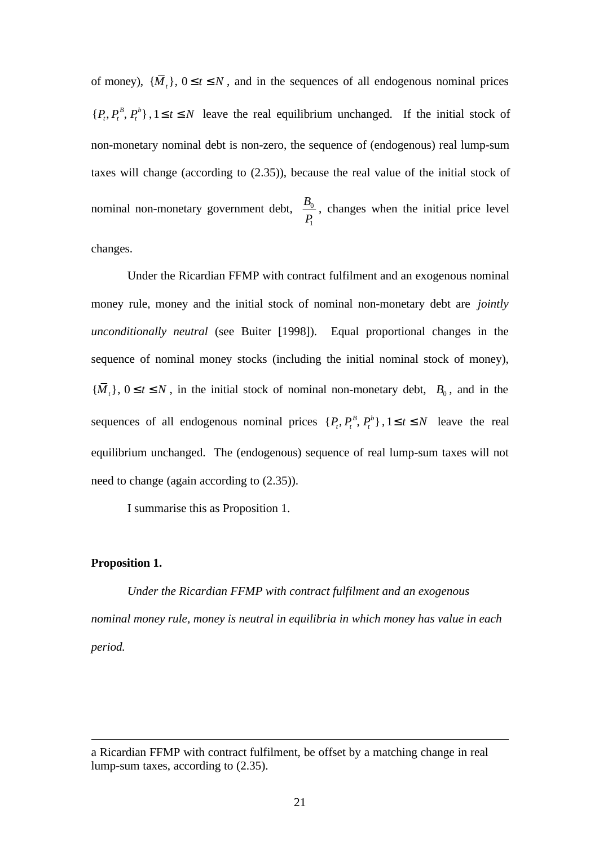of money),  $\{\overline{M}_t\}$ ,  $0 \le t \le N$ , and in the sequences of all endogenous nominal prices  $\{P_t, P_t^B, P_t^b\}$ ,  $1 \le t \le N$  leave the real equilibrium unchanged. If the initial stock of non-monetary nominal debt is non-zero, the sequence of (endogenous) real lump-sum taxes will change (according to (2.35)), because the real value of the initial stock of nominal non-monetary government debt,  $\frac{D_0}{D_0}$ 1 *B P* , changes when the initial price level changes.

Under the Ricardian FFMP with contract fulfilment and an exogenous nominal money rule, money and the initial stock of nominal non-monetary debt are *jointly unconditionally neutral* (see Buiter [1998]). Equal proportional changes in the sequence of nominal money stocks (including the initial nominal stock of money),  ${\overline{M}}_t$ ,  $0 \le t \le N$ , in the initial stock of nominal non-monetary debt,  $B_0$ , and in the sequences of all endogenous nominal prices  $\{P_t, P_t^B, P_t^b\}$ ,  $1 \le t \le N$  leave the real equilibrium unchanged. The (endogenous) sequence of real lump-sum taxes will not need to change (again according to (2.35)).

I summarise this as Proposition 1.

#### **Proposition 1.**

l

*Under the Ricardian FFMP with contract fulfilment and an exogenous nominal money rule, money is neutral in equilibria in which money has value in each period.*

a Ricardian FFMP with contract fulfilment, be offset by a matching change in real lump-sum taxes, according to (2.35).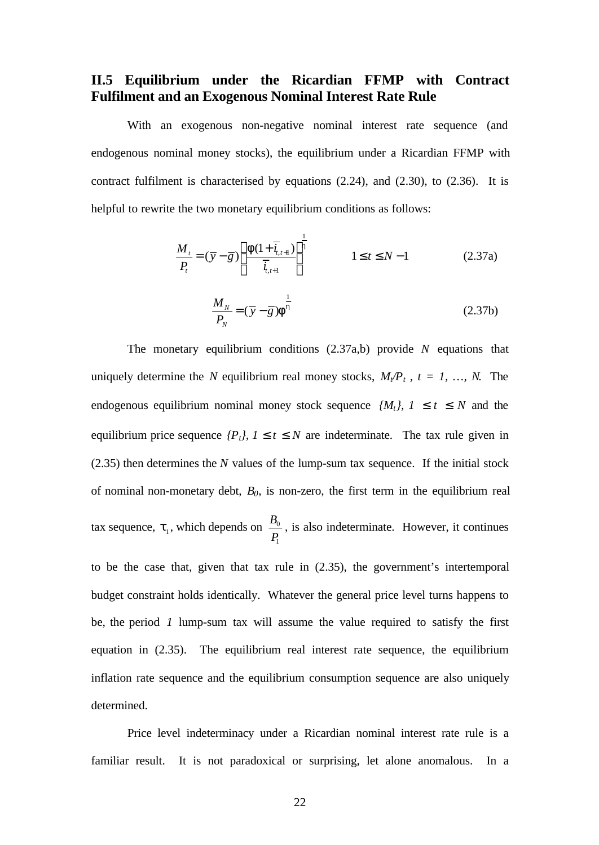### **II.5 Equilibrium under the Ricardian FFMP with Contract Fulfilment and an Exogenous Nominal Interest Rate Rule**

With an exogenous non-negative nominal interest rate sequence (and endogenous nominal money stocks), the equilibrium under a Ricardian FFMP with contract fulfilment is characterised by equations (2.24), and (2.30), to (2.36). It is helpful to rewrite the two monetary equilibrium conditions as follows:

$$
\frac{M_t}{P_t} = (\overline{y} - \overline{g}) \left[ \frac{f(1 + \overline{i}_{t,t+1})}{\overline{i}_{t,t+1}} \right]^{\frac{1}{h}}
$$
\n
$$
1 \le t \le N - 1
$$
\n(2.37a)

$$
\frac{M_N}{P_N} = (\overline{y} - \overline{g}) \mathbf{f}^{\frac{1}{h}}
$$
\n(2.37b)

The monetary equilibrium conditions (2.37a,b) provide *N* equations that uniquely determine the *N* equilibrium real money stocks,  $M_f/P_t$ ,  $t = 1, ..., N$ . The endogenous equilibrium nominal money stock sequence  $\{M_t\}$ , 1 **£** t **£** N and the equilibrium price sequence  ${P_t}$ , 1  $\mathbf{f}$   $\mathbf{f}$   $\mathbf{f}$   $\mathbf{f}$   $\mathbf{f}$  are indeterminate. The tax rule given in (2.35) then determines the *N* values of the lump-sum tax sequence. If the initial stock of nominal non-monetary debt, *B0*, is non-zero, the first term in the equilibrium real tax sequence,  $t_1$ , which depends on  $\frac{D_0}{D_1}$ 1 *B P* , is also indeterminate. However, it continues

to be the case that, given that tax rule in (2.35), the government's intertemporal budget constraint holds identically. Whatever the general price level turns happens to be, the period *1* lump-sum tax will assume the value required to satisfy the first equation in (2.35). The equilibrium real interest rate sequence, the equilibrium inflation rate sequence and the equilibrium consumption sequence are also uniquely determined.

Price level indeterminacy under a Ricardian nominal interest rate rule is a familiar result. It is not paradoxical or surprising, let alone anomalous. In a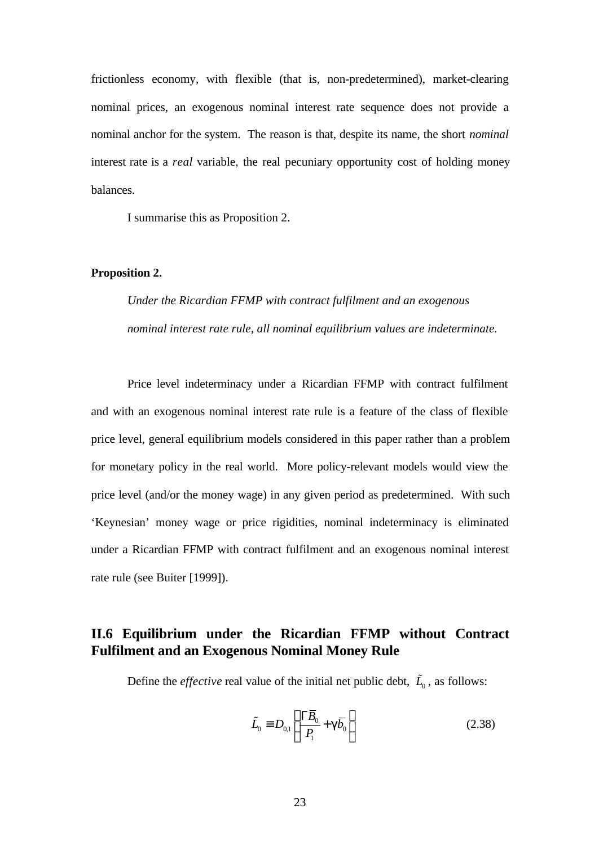frictionless economy, with flexible (that is, non-predetermined), market-clearing nominal prices, an exogenous nominal interest rate sequence does not provide a nominal anchor for the system. The reason is that, despite its name, the short *nominal* interest rate is a *real* variable, the real pecuniary opportunity cost of holding money balances.

I summarise this as Proposition 2.

#### **Proposition 2.**

*Under the Ricardian FFMP with contract fulfilment and an exogenous nominal interest rate rule, all nominal equilibrium values are indeterminate.*

Price level indeterminacy under a Ricardian FFMP with contract fulfilment and with an exogenous nominal interest rate rule is a feature of the class of flexible price level, general equilibrium models considered in this paper rather than a problem for monetary policy in the real world. More policy-relevant models would view the price level (and/or the money wage) in any given period as predetermined. With such 'Keynesian' money wage or price rigidities, nominal indeterminacy is eliminated under a Ricardian FFMP with contract fulfilment and an exogenous nominal interest rate rule (see Buiter [1999]).

### **II.6 Equilibrium under the Ricardian FFMP without Contract Fulfilment and an Exogenous Nominal Money Rule**

Define the *effective* real value of the initial net public debt,  $\tilde{L}_0$ , as follows:

$$
\tilde{L}_0 \equiv D_{0,1} \left( \frac{\Gamma \overline{B}_0}{P_1} + \mathbf{g} \overline{b}_0 \right) \tag{2.38}
$$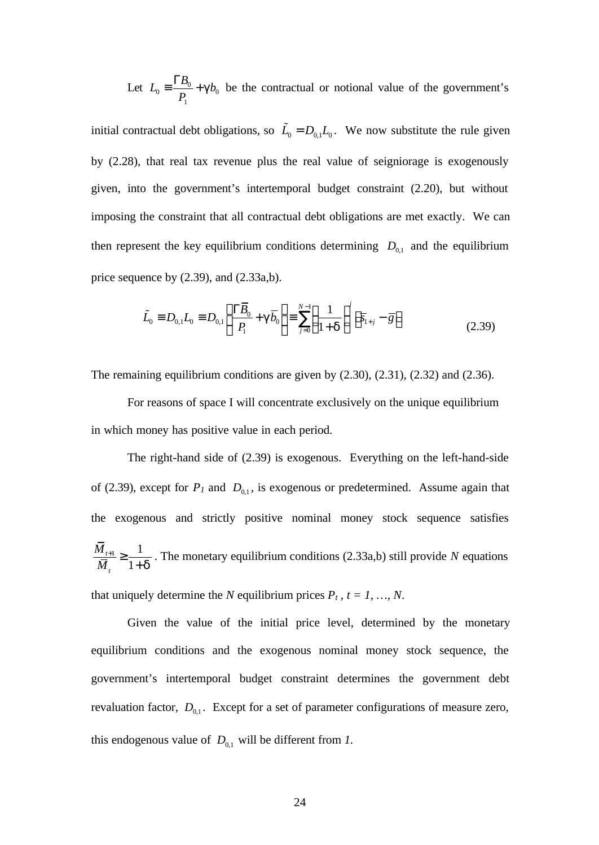Let  $L_0 = \frac{1B_0}{R} + gb_0$ 1  $L_0 \equiv \frac{\Gamma B_0}{\Gamma} + g b_0$ *P*  $\equiv \frac{\Gamma B_0}{\Gamma} + \mathbf{g} b_0$  be the contractual or notional value of the government's

initial contractual debt obligations, so  $\tilde{L}_0 = D_{0,1} L_0$ . We now substitute the rule given by (2.28), that real tax revenue plus the real value of seigniorage is exogenously given, into the government's intertemporal budget constraint (2.20), but without imposing the constraint that all contractual debt obligations are met exactly. We can then represent the key equilibrium conditions determining  $D_{0,1}$  and the equilibrium price sequence by (2.39), and (2.33a,b).

$$
\tilde{L}_0 \equiv D_{0,1} L_0 \equiv D_{0,1} \left( \frac{\Gamma \overline{B}_0}{P_1} + g \overline{b}_0 \right) \equiv \sum_{j=0}^{N-1} \left( \frac{1}{1+d} \right)^j \left[ \overline{s}_{1+j} - \overline{g} \right]
$$
\n(2.39)

The remaining equilibrium conditions are given by (2.30), (2.31), (2.32) and (2.36).

For reasons of space I will concentrate exclusively on the unique equilibrium in which money has positive value in each period.

The right-hand side of (2.39) is exogenous. Everything on the left-hand-side of (2.39), except for  $P_I$  and  $D_{0,1}$ , is exogenous or predetermined. Assume again that the exogenous and strictly positive nominal money stock sequence satisfies  $1\frac{1}{2}$ 1 *t M t*  $\overline{M}_{i}$ <sup> $-1+\overline{d}$ </sup>  $\frac{+1}{-}$   $\geq$ + . The monetary equilibrium conditions (2.33a,b) still provide *N* equations that uniquely determine the *N* equilibrium prices  $P_t$ ,  $t = 1, ..., N$ .

Given the value of the initial price level, determined by the monetary equilibrium conditions and the exogenous nominal money stock sequence, the government's intertemporal budget constraint determines the government debt revaluation factor,  $D_{0,1}$ . Except for a set of parameter configurations of measure zero, this endogenous value of  $D_{0,1}$  will be different from *1*.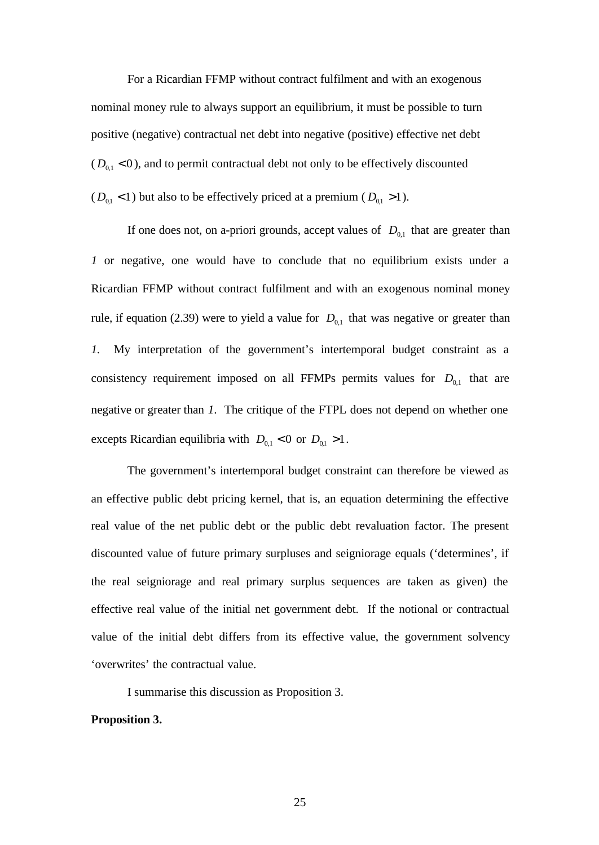For a Ricardian FFMP without contract fulfilment and with an exogenous nominal money rule to always support an equilibrium, it must be possible to turn positive (negative) contractual net debt into negative (positive) effective net debt  $(D_{0,1} < 0)$ , and to permit contractual debt not only to be effectively discounted  $(D_{0,1} < 1)$  but also to be effectively priced at a premium  $(D_{0,1} > 1)$ .

If one does not, on a-priori grounds, accept values of  $D_{0,1}$  that are greater than *1* or negative, one would have to conclude that no equilibrium exists under a Ricardian FFMP without contract fulfilment and with an exogenous nominal money rule, if equation (2.39) were to yield a value for  $D_{0,1}$  that was negative or greater than *1.* My interpretation of the government's intertemporal budget constraint as a consistency requirement imposed on all FFMPs permits values for  $D_{0,1}$  that are negative or greater than *1*. The critique of the FTPL does not depend on whether one excepts Ricardian equilibria with  $D_{0,1} < 0$  or  $D_{0,1} > 1$ .

The government's intertemporal budget constraint can therefore be viewed as an effective public debt pricing kernel, that is, an equation determining the effective real value of the net public debt or the public debt revaluation factor. The present discounted value of future primary surpluses and seigniorage equals ('determines', if the real seigniorage and real primary surplus sequences are taken as given) the effective real value of the initial net government debt. If the notional or contractual value of the initial debt differs from its effective value, the government solvency 'overwrites' the contractual value.

I summarise this discussion as Proposition 3.

#### **Proposition 3.**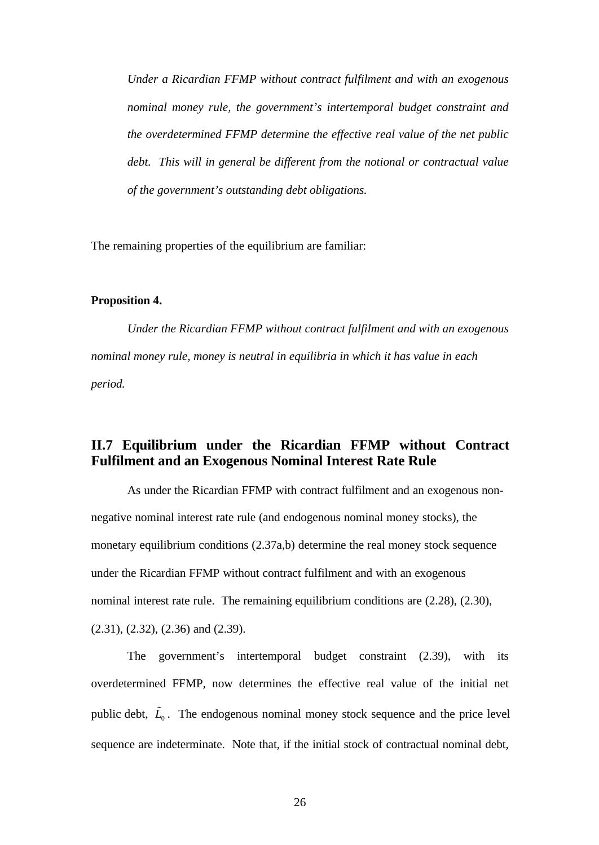*Under a Ricardian FFMP without contract fulfilment and with an exogenous nominal money rule, the government's intertemporal budget constraint and the overdetermined FFMP determine the effective real value of the net public debt. This will in general be different from the notional or contractual value of the government's outstanding debt obligations.*

The remaining properties of the equilibrium are familiar:

#### **Proposition 4.**

*Under the Ricardian FFMP without contract fulfilment and with an exogenous nominal money rule, money is neutral in equilibria in which it has value in each period.*

### **II.7 Equilibrium under the Ricardian FFMP without Contract Fulfilment and an Exogenous Nominal Interest Rate Rule**

As under the Ricardian FFMP with contract fulfilment and an exogenous nonnegative nominal interest rate rule (and endogenous nominal money stocks), the monetary equilibrium conditions (2.37a,b) determine the real money stock sequence under the Ricardian FFMP without contract fulfilment and with an exogenous nominal interest rate rule. The remaining equilibrium conditions are (2.28), (2.30), (2.31), (2.32), (2.36) and (2.39).

The government's intertemporal budget constraint (2.39), with its overdetermined FFMP, now determines the effective real value of the initial net public debt,  $\tilde{L}_0$ . The endogenous nominal money stock sequence and the price level sequence are indeterminate. Note that, if the initial stock of contractual nominal debt,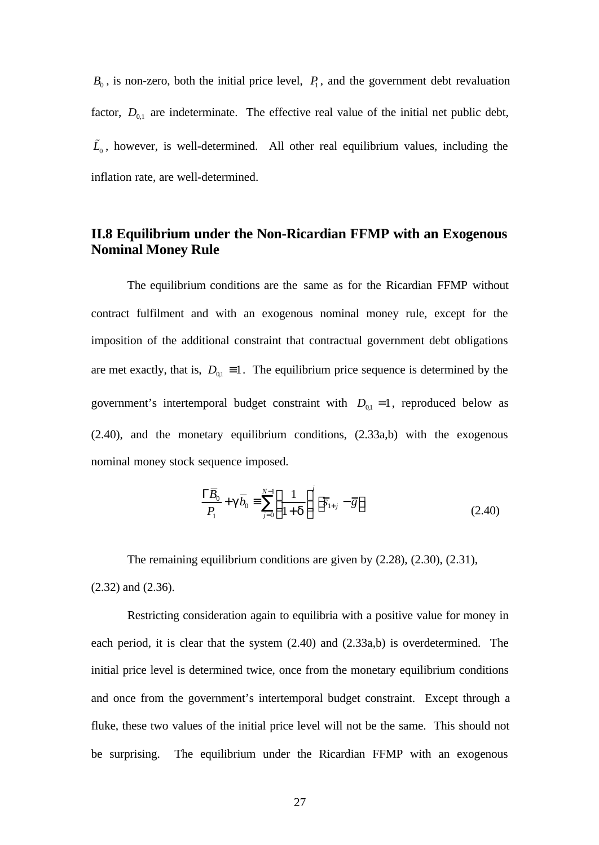$B_0$ , is non-zero, both the initial price level,  $P_1$ , and the government debt revaluation factor,  $D_{0,1}$  are indeterminate. The effective real value of the initial net public debt,  $\tilde{L}_0$ , however, is well-determined. All other real equilibrium values, including the inflation rate, are well-determined.

# **II.8 Equilibrium under the Non-Ricardian FFMP with an Exogenous Nominal Money Rule**

The equilibrium conditions are the same as for the Ricardian FFMP without contract fulfilment and with an exogenous nominal money rule, except for the imposition of the additional constraint that contractual government debt obligations are met exactly, that is,  $D_{01} \equiv 1$ . The equilibrium price sequence is determined by the government's intertemporal budget constraint with  $D_{0,1} = 1$ , reproduced below as (2.40), and the monetary equilibrium conditions, (2.33a,b) with the exogenous nominal money stock sequence imposed.

$$
\frac{\Gamma \overline{B}_0}{P_1} + \mathbf{g} \overline{b}_0 \equiv \sum_{j=0}^{N-1} \left( \frac{1}{1+\mathbf{d}} \right)^j \left[ \overline{s}_{1+j} - \overline{g} \right]
$$
(2.40)

The remaining equilibrium conditions are given by (2.28), (2.30), (2.31), (2.32) and (2.36).

Restricting consideration again to equilibria with a positive value for money in each period, it is clear that the system (2.40) and (2.33a,b) is overdetermined. The initial price level is determined twice, once from the monetary equilibrium conditions and once from the government's intertemporal budget constraint. Except through a fluke, these two values of the initial price level will not be the same. This should not be surprising. The equilibrium under the Ricardian FFMP with an exogenous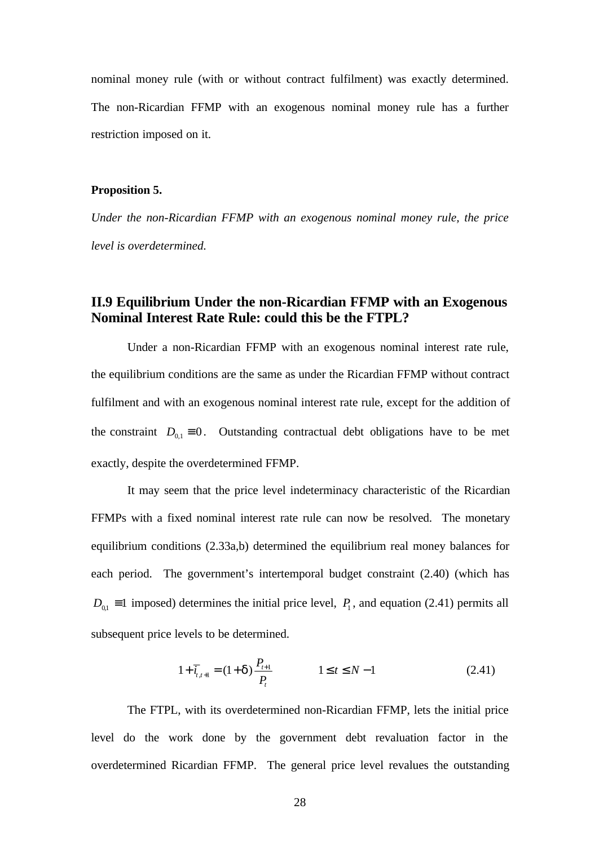nominal money rule (with or without contract fulfilment) was exactly determined. The non-Ricardian FFMP with an exogenous nominal money rule has a further restriction imposed on it.

#### **Proposition 5.**

*Under the non-Ricardian FFMP with an exogenous nominal money rule, the price level is overdetermined.*

# **II.9 Equilibrium Under the non-Ricardian FFMP with an Exogenous Nominal Interest Rate Rule: could this be the FTPL?**

Under a non-Ricardian FFMP with an exogenous nominal interest rate rule, the equilibrium conditions are the same as under the Ricardian FFMP without contract fulfilment and with an exogenous nominal interest rate rule, except for the addition of the constraint  $D_{0,1} \equiv 0$ . Outstanding contractual debt obligations have to be met exactly, despite the overdetermined FFMP.

It may seem that the price level indeterminacy characteristic of the Ricardian FFMPs with a fixed nominal interest rate rule can now be resolved. The monetary equilibrium conditions (2.33a,b) determined the equilibrium real money balances for each period. The government's intertemporal budget constraint (2.40) (which has  $D_{0,1} \equiv 1$  imposed) determines the initial price level,  $P_1$ , and equation (2.41) permits all subsequent price levels to be determined.

$$
1 + \overline{i}_{t,t+1} = (1 + d) \frac{P_{t+1}}{P_t} \qquad 1 \le t \le N - 1 \qquad (2.41)
$$

The FTPL, with its overdetermined non-Ricardian FFMP, lets the initial price level do the work done by the government debt revaluation factor in the overdetermined Ricardian FFMP. The general price level revalues the outstanding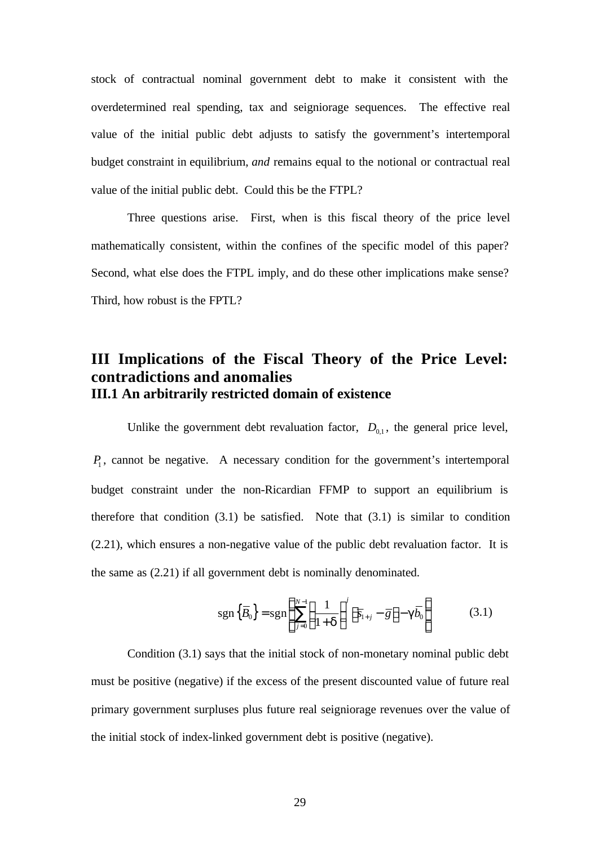stock of contractual nominal government debt to make it consistent with the overdetermined real spending, tax and seigniorage sequences. The effective real value of the initial public debt adjusts to satisfy the government's intertemporal budget constraint in equilibrium, *and* remains equal to the notional or contractual real value of the initial public debt. Could this be the FTPL?

Three questions arise. First, when is this fiscal theory of the price level mathematically consistent, within the confines of the specific model of this paper? Second, what else does the FTPL imply, and do these other implications make sense? Third, how robust is the FPTL?

# **III Implications of the Fiscal Theory of the Price Level: contradictions and anomalies III.1 An arbitrarily restricted domain of existence**

Unlike the government debt revaluation factor,  $D_{0,1}$ , the general price level, *P*1 , cannot be negative. A necessary condition for the government's intertemporal budget constraint under the non-Ricardian FFMP to support an equilibrium is therefore that condition  $(3.1)$  be satisfied. Note that  $(3.1)$  is similar to condition (2.21), which ensures a non-negative value of the public debt revaluation factor. It is the same as (2.21) if all government debt is nominally denominated.

$$
\operatorname{sgn}\left\{\overline{B}_{0}\right\} = \operatorname{sgn}\left\{\sum_{j=0}^{N-1} \left(\frac{1}{1+d}\right)^{j} \left[\overline{s}_{1+j} - \overline{g}\right] - g\overline{b}_{0}\right\} \tag{3.1}
$$

Condition (3.1) says that the initial stock of non-monetary nominal public debt must be positive (negative) if the excess of the present discounted value of future real primary government surpluses plus future real seigniorage revenues over the value of the initial stock of index-linked government debt is positive (negative).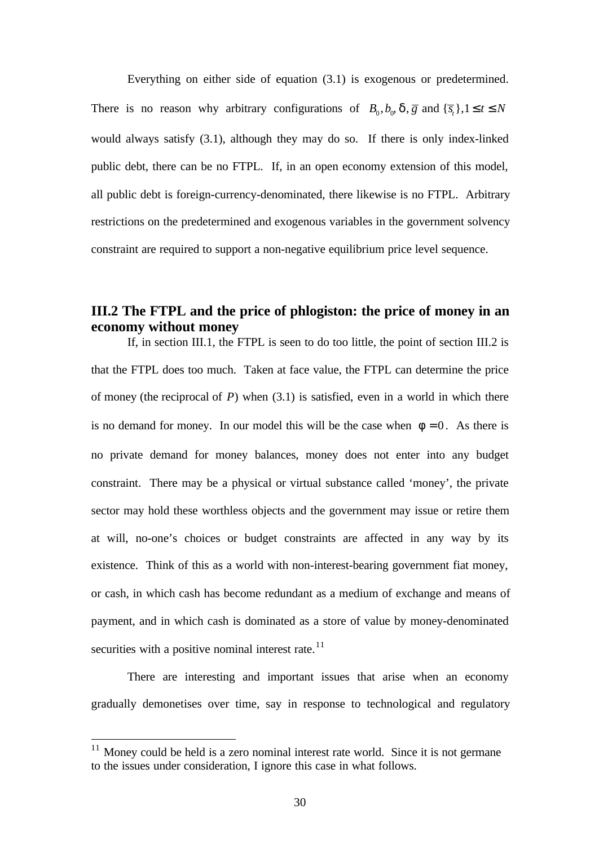Everything on either side of equation (3.1) is exogenous or predetermined. There is no reason why arbitrary configurations of  $B_0$ ,  $b_0$ ,  $d$ ,  $\overline{g}$  and  $\{\overline{s}_t\}$ ,  $1 \le t \le N$ would always satisfy (3.1), although they may do so. If there is only index-linked public debt, there can be no FTPL. If, in an open economy extension of this model, all public debt is foreign-currency-denominated, there likewise is no FTPL. Arbitrary restrictions on the predetermined and exogenous variables in the government solvency constraint are required to support a non-negative equilibrium price level sequence.

### **III.2 The FTPL and the price of phlogiston: the price of money in an economy without money**

If, in section III.1, the FTPL is seen to do too little, the point of section III.2 is that the FTPL does too much. Taken at face value, the FTPL can determine the price of money (the reciprocal of *P*) when (3.1) is satisfied, even in a world in which there is no demand for money. In our model this will be the case when  $f = 0$ . As there is no private demand for money balances, money does not enter into any budget constraint. There may be a physical or virtual substance called 'money', the private sector may hold these worthless objects and the government may issue or retire them at will, no-one's choices or budget constraints are affected in any way by its existence. Think of this as a world with non-interest-bearing government fiat money, or cash, in which cash has become redundant as a medium of exchange and means of payment, and in which cash is dominated as a store of value by money-denominated securities with a positive nominal interest rate. $11$ 

There are interesting and important issues that arise when an economy gradually demonetises over time, say in response to technological and regulatory

<sup>&</sup>lt;sup>11</sup> Money could be held is a zero nominal interest rate world. Since it is not germane to the issues under consideration, I ignore this case in what follows.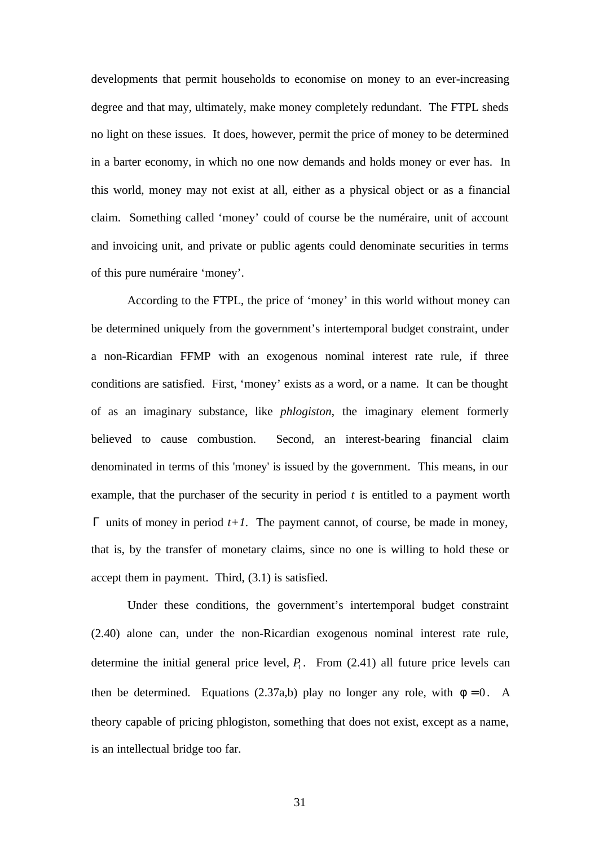developments that permit households to economise on money to an ever-increasing degree and that may, ultimately, make money completely redundant. The FTPL sheds no light on these issues. It does, however, permit the price of money to be determined in a barter economy, in which no one now demands and holds money or ever has. In this world, money may not exist at all, either as a physical object or as a financial claim. Something called 'money' could of course be the numéraire, unit of account and invoicing unit, and private or public agents could denominate securities in terms of this pure numéraire 'money'.

According to the FTPL, the price of 'money' in this world without money can be determined uniquely from the government's intertemporal budget constraint, under a non-Ricardian FFMP with an exogenous nominal interest rate rule, if three conditions are satisfied. First, 'money' exists as a word, or a name. It can be thought of as an imaginary substance, like *phlogiston*, the imaginary element formerly believed to cause combustion. Second, an interest-bearing financial claim denominated in terms of this 'money' is issued by the government. This means, in our example, that the purchaser of the security in period *t* is entitled to a payment worth  $Γ$  units of money in period  $t+I$ . The payment cannot, of course, be made in money, that is, by the transfer of monetary claims, since no one is willing to hold these or accept them in payment. Third, (3.1) is satisfied.

Under these conditions, the government's intertemporal budget constraint (2.40) alone can, under the non-Ricardian exogenous nominal interest rate rule, determine the initial general price level,  $P_1$ . From (2.41) all future price levels can then be determined. Equations (2.37a,b) play no longer any role, with  $f = 0$ . A theory capable of pricing phlogiston, something that does not exist, except as a name, is an intellectual bridge too far.

31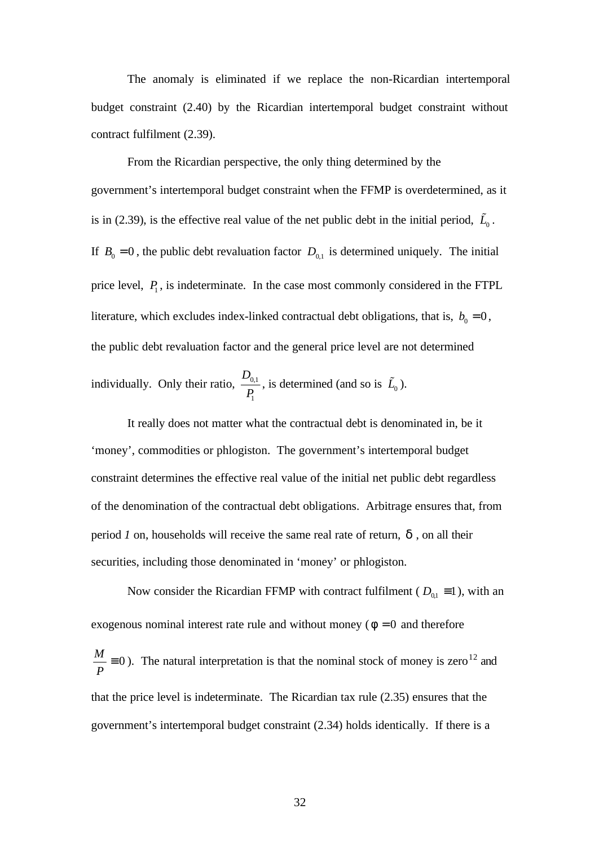The anomaly is eliminated if we replace the non-Ricardian intertemporal budget constraint (2.40) by the Ricardian intertemporal budget constraint without contract fulfilment (2.39).

From the Ricardian perspective, the only thing determined by the government's intertemporal budget constraint when the FFMP is overdetermined, as it is in (2.39), is the effective real value of the net public debt in the initial period,  $\tilde{L}_0$ . If  $B_0 = 0$ , the public debt revaluation factor  $D_{0,1}$  is determined uniquely. The initial price level,  $P_1$ , is indeterminate. In the case most commonly considered in the FTPL literature, which excludes index-linked contractual debt obligations, that is,  $b_0 = 0$ , the public debt revaluation factor and the general price level are not determined individually. Only their ratio,  $\frac{D_{0,1}}{2}$ 1 *D*  $\frac{\nu_{0,1}}{P_1}$ , is determined (and so is  $\tilde{L}_0$ ).

It really does not matter what the contractual debt is denominated in, be it 'money', commodities or phlogiston. The government's intertemporal budget constraint determines the effective real value of the initial net public debt regardless of the denomination of the contractual debt obligations. Arbitrage ensures that, from period *1* on, households will receive the same real rate of return, *d* , on all their securities, including those denominated in 'money' or phlogiston.

Now consider the Ricardian FFMP with contract fulfilment ( $D_{0,1} \equiv 1$ ), with an exogenous nominal interest rate rule and without money ( $f = 0$  and therefore  $\frac{M}{\gamma} \equiv 0$ *P*  $\equiv$  0). The natural interpretation is that the nominal stock of money is zero<sup>12</sup> and that the price level is indeterminate. The Ricardian tax rule (2.35) ensures that the government's intertemporal budget constraint (2.34) holds identically. If there is a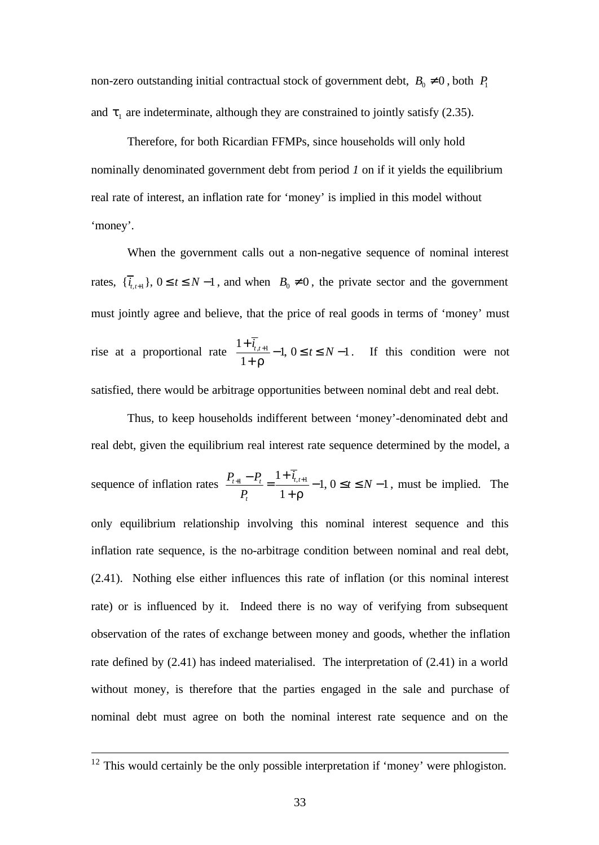non-zero outstanding initial contractual stock of government debt,  $B_0 \neq 0$ , both  $P_1$ and  $t_1$  are indeterminate, although they are constrained to jointly satisfy (2.35).

Therefore, for both Ricardian FFMPs, since households will only hold nominally denominated government debt from period *1* on if it yields the equilibrium real rate of interest, an inflation rate for 'money' is implied in this model without 'money'.

When the government calls out a non-negative sequence of nominal interest rates,  $\{\overline{i}_{t,t+1}\}\$ ,  $0 \le t \le N-1$ , and when  $B_0 \ne 0$ , the private sector and the government must jointly agree and believe, that the price of real goods in terms of 'money' must rise at a proportional rate  $\frac{1+\overline{i}_{t,t+1}}{1}$  -1,  $0 \le t \le N-1$ 1  $\frac{\overline{i_{t,t+1}}}{t} - 1, 0 \leq t \leq N$ *r*  $+\overline{i}_{t,t+1}$  – 1,  $0 \le t \le N -$ + . If this condition were not satisfied, there would be arbitrage opportunities between nominal debt and real debt.

Thus, to keep households indifferent between 'money'-denominated debt and real debt, given the equilibrium real interest rate sequence determined by the model, a sequence of inflation rates  $\frac{P_{t+1} - P_t}{P_{t+1}} = \frac{1 + \overline{i}_{t,t+1}}{1} - 1, 0 \le t \le N - 1$ 1  $T_{t+1} - T_{t-1} = \frac{1}{t} + t_{t,t}$ *t*  $P_{t+1} - P_t = \frac{1 + \overline{i}_{t,t+1}}{n} - 1, 0 \le t \le N$  $P_t$   $1+r$  $\frac{1}{t+1} - P_t = \frac{1 + \overline{i}_{t,t+1}}{1} - 1, 0 \le t \le N - 1$ + , must be implied. The only equilibrium relationship involving this nominal interest sequence and this inflation rate sequence, is the no-arbitrage condition between nominal and real debt, (2.41). Nothing else either influences this rate of inflation (or this nominal interest rate) or is influenced by it. Indeed there is no way of verifying from subsequent observation of the rates of exchange between money and goods, whether the inflation rate defined by (2.41) has indeed materialised. The interpretation of (2.41) in a world without money, is therefore that the parties engaged in the sale and purchase of nominal debt must agree on both the nominal interest rate sequence and on the

 $12$  This would certainly be the only possible interpretation if 'money' were phlogiston.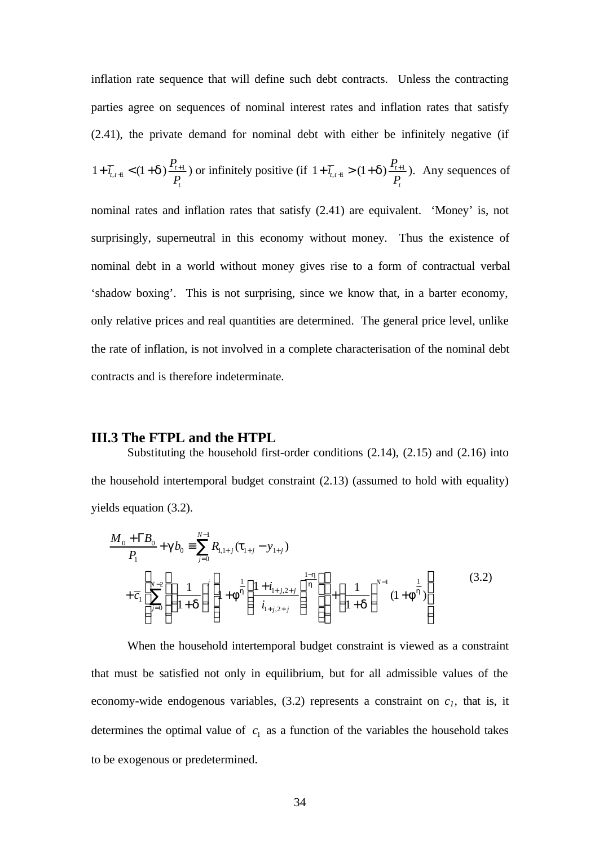inflation rate sequence that will define such debt contracts. Unless the contracting parties agree on sequences of nominal interest rates and inflation rates that satisfy (2.41), the private demand for nominal debt with either be infinitely negative (if

$$
1+\overline{i}_{t,t+1} < (1+d)\frac{P_{t+1}}{P_t}\text{) or infinitely positive (if } 1+\overline{i}_{t,t+1} > (1+d)\frac{P_{t+1}}{P_t}\text{). Any sequences of }
$$

nominal rates and inflation rates that satisfy (2.41) are equivalent. 'Money' is, not surprisingly, superneutral in this economy without money. Thus the existence of nominal debt in a world without money gives rise to a form of contractual verbal 'shadow boxing'. This is not surprising, since we know that, in a barter economy, only relative prices and real quantities are determined. The general price level, unlike the rate of inflation, is not involved in a complete characterisation of the nominal debt contracts and is therefore indeterminate.

### **III.3 The FTPL and the HTPL**

Substituting the household first-order conditions (2.14), (2.15) and (2.16) into the household intertemporal budget constraint (2.13) (assumed to hold with equality) yields equation (3.2).

$$
\frac{M_0 + \Gamma B_0}{P_1} + \mathbf{g} b_0 \equiv \sum_{j=0}^{N-1} R_{1,1+j} (\mathbf{t}_{1+j} - \mathbf{y}_{1+j})
$$
\n
$$
+ \overline{c}_1 \left[ \sum_{j=0}^{N-2} \left( \left( \frac{1}{1+\mathbf{d}} \right)^j \left[ 1 + \mathbf{f}^{\frac{1}{\mathbf{h}}} \left( \frac{1 + i_{1+j,2+j}}{i_{1+j,2+j}} \right)^{\frac{1-\mathbf{h}}{\mathbf{h}}} \right] \right] + \left( \frac{1}{1+\mathbf{d}} \right)^{N-1} (1 + \mathbf{f}^{\frac{1}{\mathbf{h}}} ) \right]
$$
\n(3.2)

When the household intertemporal budget constraint is viewed as a constraint that must be satisfied not only in equilibrium, but for all admissible values of the economy-wide endogenous variables,  $(3.2)$  represents a constraint on  $c<sub>I</sub>$ , that is, it determines the optimal value of  $c_1$  as a function of the variables the household takes to be exogenous or predetermined.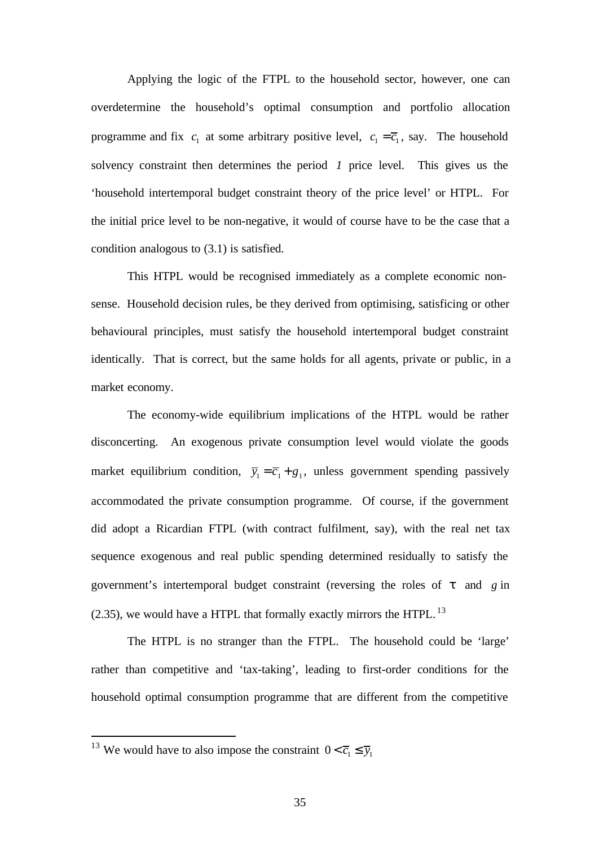Applying the logic of the FTPL to the household sector, however, one can overdetermine the household's optimal consumption and portfolio allocation programme and fix  $c_1$  at some arbitrary positive level,  $c_1 = \overline{c_1}$ , say. The household solvency constraint then determines the period *1* price level. This gives us the 'household intertemporal budget constraint theory of the price level' or HTPL. For the initial price level to be non-negative, it would of course have to be the case that a condition analogous to (3.1) is satisfied.

This HTPL would be recognised immediately as a complete economic nonsense. Household decision rules, be they derived from optimising, satisficing or other behavioural principles, must satisfy the household intertemporal budget constraint identically. That is correct, but the same holds for all agents, private or public, in a market economy.

The economy-wide equilibrium implications of the HTPL would be rather disconcerting. An exogenous private consumption level would violate the goods market equilibrium condition,  $\overline{y}_1 = \overline{c}_1 + g_1$ , unless government spending passively accommodated the private consumption programme. Of course, if the government did adopt a Ricardian FTPL (with contract fulfilment, say), with the real net tax sequence exogenous and real public spending determined residually to satisfy the government's intertemporal budget constraint (reversing the roles of *t* and *g* in  $(2.35)$ , we would have a HTPL that formally exactly mirrors the HTPL.<sup>13</sup>

The HTPL is no stranger than the FTPL. The household could be 'large' rather than competitive and 'tax-taking', leading to first-order conditions for the household optimal consumption programme that are different from the competitive

<sup>&</sup>lt;sup>13</sup> We would have to also impose the constraint  $0 < \overline{c}_1 \le \overline{y}_1$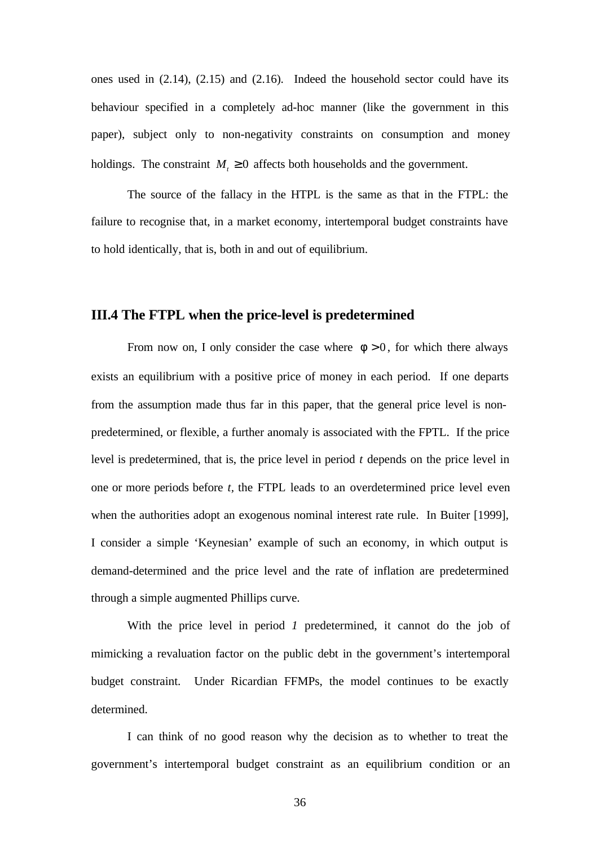ones used in (2.14), (2.15) and (2.16). Indeed the household sector could have its behaviour specified in a completely ad-hoc manner (like the government in this paper), subject only to non-negativity constraints on consumption and money holdings. The constraint  $M_t \geq 0$  affects both households and the government.

The source of the fallacy in the HTPL is the same as that in the FTPL: the failure to recognise that, in a market economy, intertemporal budget constraints have to hold identically, that is, both in and out of equilibrium.

### **III.4 The FTPL when the price-level is predetermined**

From now on, I only consider the case where  $f > 0$ , for which there always exists an equilibrium with a positive price of money in each period. If one departs from the assumption made thus far in this paper, that the general price level is nonpredetermined, or flexible, a further anomaly is associated with the FPTL. If the price level is predetermined, that is, the price level in period *t* depends on the price level in one or more periods before *t,* the FTPL leads to an overdetermined price level even when the authorities adopt an exogenous nominal interest rate rule. In Buiter [1999], I consider a simple 'Keynesian' example of such an economy, in which output is demand-determined and the price level and the rate of inflation are predetermined through a simple augmented Phillips curve.

With the price level in period *1* predetermined, it cannot do the job of mimicking a revaluation factor on the public debt in the government's intertemporal budget constraint. Under Ricardian FFMPs, the model continues to be exactly determined.

I can think of no good reason why the decision as to whether to treat the government's intertemporal budget constraint as an equilibrium condition or an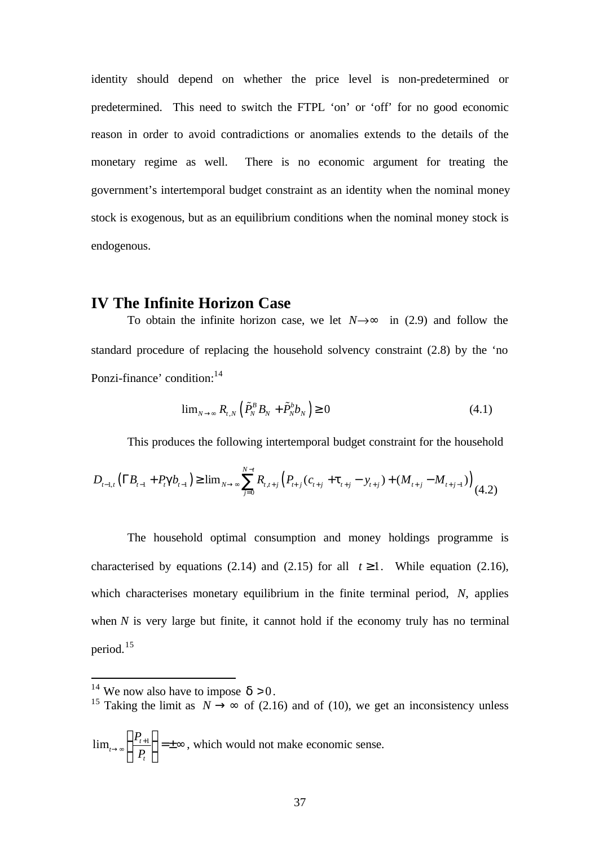identity should depend on whether the price level is non-predetermined or predetermined. This need to switch the FTPL 'on' or 'off' for no good economic reason in order to avoid contradictions or anomalies extends to the details of the monetary regime as well. There is no economic argument for treating the government's intertemporal budget constraint as an identity when the nominal money stock is exogenous, but as an equilibrium conditions when the nominal money stock is endogenous.

### **IV The Infinite Horizon Case**

To obtain the infinite horizon case, we let  $N \rightarrow \mathbf{F}$  in (2.9) and follow the standard procedure of replacing the household solvency constraint (2.8) by the 'no Ponzi-finance' condition:<sup>14</sup>

$$
\lim_{N \to \infty} R_{t,N} \left( \tilde{P}_N^B B_N + \tilde{P}_N^b b_N \right) \ge 0 \tag{4.1}
$$

This produces the following intertemporal budget constraint for the household

$$
D_{t-1,t} \left( \Gamma B_{t-1} + P_t \mathbf{g} b_{t-1} \right) \geq \lim_{N \to \infty} \sum_{j=0}^{N-t} R_{t,t+j} \left( P_{t+j} \left( c_{t+j} + \mathbf{t}_{t+j} - y_{t+j} \right) + \left( M_{t+j} - M_{t+j-1} \right) \right) \tag{4.2}
$$

The household optimal consumption and money holdings programme is characterised by equations (2.14) and (2.15) for all  $t \ge 1$ . While equation (2.16), which characterises monetary equilibrium in the finite terminal period, *N*, applies when  *is very large but finite, it cannot hold if the economy truly has no terminal* period.<sup>15</sup>

l

<sup>15</sup> Taking the limit as  $N \rightarrow \infty$  of (2.16) and of (10), we get an inconsistency unless

$$
\lim_{t \to \infty} \left\{ \frac{P_{t+1}}{P_t} \right\} = \pm \infty
$$
, which would not make economic sense.

<sup>&</sup>lt;sup>14</sup> We now also have to impose  $\mathbf{d} > 0$ .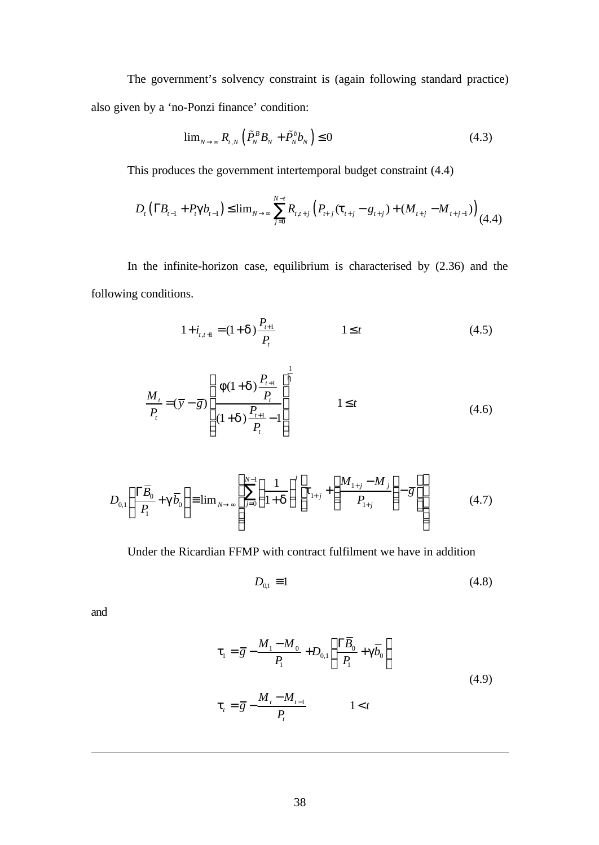The government's solvency constraint is (again following standard practice) also given by a 'no-Ponzi finance' condition:

$$
\lim_{N \to \infty} R_{t,N} \left( \tilde{P}_N^B B_N + \tilde{P}_N^b b_N \right) \le 0 \tag{4.3}
$$

This produces the government intertemporal budget constraint (4.4)

$$
D_{t} \left( \Gamma B_{t-1} + P_{t} \mathbf{g} b_{t-1} \right) \leq \lim_{N \to \infty} \sum_{j=0}^{N-t} R_{t,t+j} \left( P_{t+j}(t_{t+j} - g_{t+j}) + (M_{t+j} - M_{t+j-1}) \right) (4.4)
$$

In the infinite-horizon case, equilibrium is characterised by (2.36) and the following conditions.

$$
1 + i_{t,t+1} = (1 + d) \frac{P_{t+1}}{P_t}
$$
 1 \le t (4.5)

$$
\frac{M_{t}}{P_{t}} = (\overline{y} - \overline{g}) \left[ \frac{f(1+d)\frac{P_{t+1}}{P_{t}}}{(1+d)\frac{P_{t+1}}{P_{t}} - 1} \right]^{\frac{1}{h}}
$$
\n $1 \leq t$ \n(4.6)

$$
D_{0,1}\left(\frac{\Gamma\overline{B}_{0}}{P_{1}}+\mathbf{g}\overline{b}_{0}\right)\equiv\lim_{N\to\infty}\left(\sum_{j=0}^{N-1}\left(\frac{1}{1+\mathbf{d}}\right)^{j}\left[\mathbf{t}_{1+j}+\left(\frac{M_{1+j}-M_{j}}{P_{1+j}}\right)-\overline{g}\right]\right)
$$
(4.7)

Under the Ricardian FFMP with contract fulfilment we have in addition

$$
D_{0,1} \equiv 1 \tag{4.8}
$$

and

$$
t_{1} = \overline{g} - \frac{M_{1} - M_{0}}{P_{1}} + D_{0,1} \left( \frac{\Gamma \overline{B}_{0}}{P_{1}} + g \overline{b}_{0} \right)
$$
  

$$
t_{t} = \overline{g} - \frac{M_{t} - M_{t-1}}{P_{t}}
$$
 1 < t (4.9)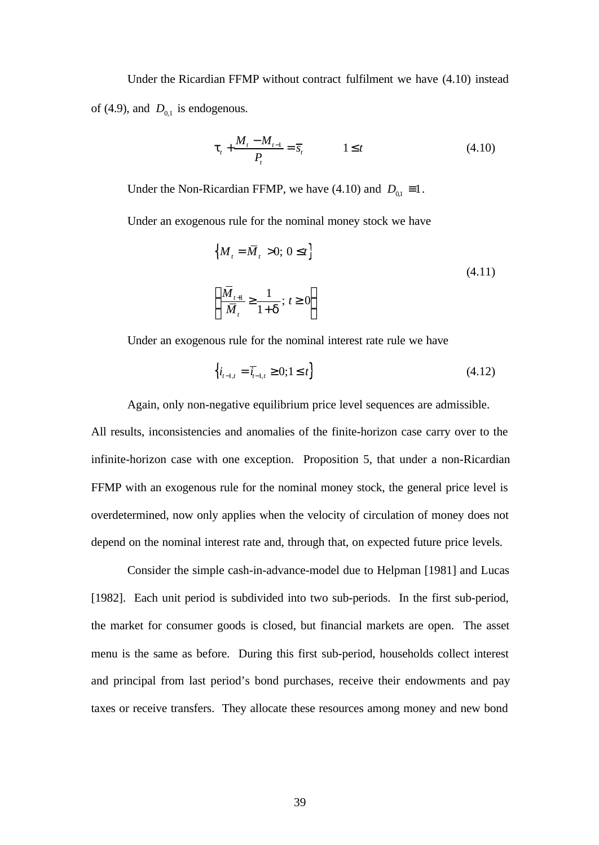Under the Ricardian FFMP without contract fulfilment we have (4.10) instead of (4.9), and  $D_{0,1}$  is endogenous.

$$
t_{t} + \frac{M_{t} - M_{t-1}}{P_{t}} = \overline{s}_{t} \qquad \qquad 1 \leq t \tag{4.10}
$$

Under the Non-Ricardian FFMP, we have (4.10) and  $D_{0,1} \equiv 1$ .

Under an exogenous rule for the nominal money stock we have

$$
\left\{ M_t = \overline{M}_t > 0; 0 \le t \right\}
$$
\n
$$
\left\{ \frac{\overline{M}_{t+1}}{\overline{M}_t} \ge \frac{1}{1+d}; t \ge 0 \right\}
$$
\n(4.11)

Under an exogenous rule for the nominal interest rate rule we have

$$
\left\{ i_{t-1,t} = \overline{i}_{t-1,t} \ge 0; 1 \le t \right\} \tag{4.12}
$$

Again, only non-negative equilibrium price level sequences are admissible.

All results, inconsistencies and anomalies of the finite-horizon case carry over to the infinite-horizon case with one exception. Proposition 5, that under a non-Ricardian FFMP with an exogenous rule for the nominal money stock, the general price level is overdetermined, now only applies when the velocity of circulation of money does not depend on the nominal interest rate and, through that, on expected future price levels.

Consider the simple cash-in-advance-model due to Helpman [1981] and Lucas [1982]. Each unit period is subdivided into two sub-periods. In the first sub-period, the market for consumer goods is closed, but financial markets are open. The asset menu is the same as before. During this first sub-period, households collect interest and principal from last period's bond purchases, receive their endowments and pay taxes or receive transfers. They allocate these resources among money and new bond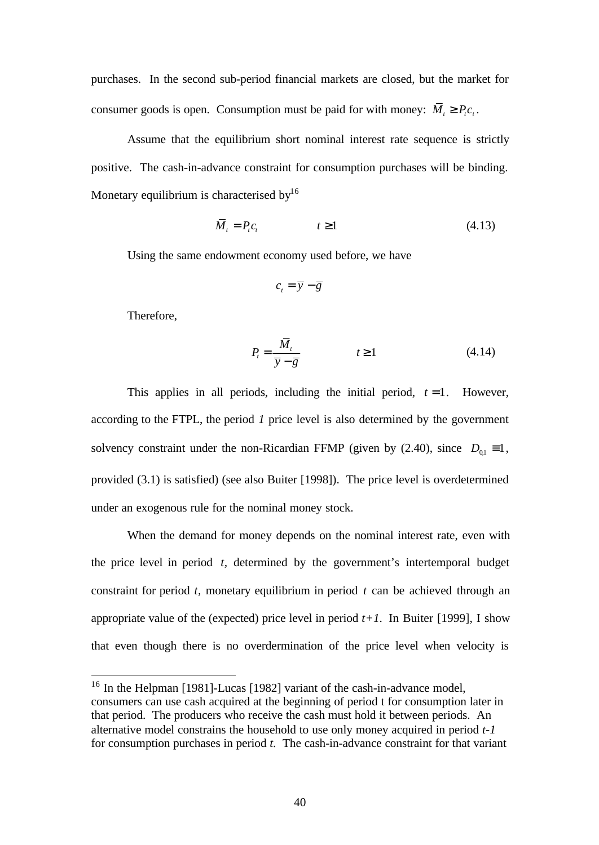purchases. In the second sub-period financial markets are closed, but the market for consumer goods is open. Consumption must be paid for with money:  $\overline{M}_t \ge P_t c_t$ .

Assume that the equilibrium short nominal interest rate sequence is strictly positive. The cash-in-advance constraint for consumption purchases will be binding. Monetary equilibrium is characterised by $16$ 

$$
\overline{M}_t = P_t c_t \qquad \qquad t \ge 1 \tag{4.13}
$$

Using the same endowment economy used before, we have

$$
c_t = \overline{y} - \overline{g}
$$

Therefore,

l

$$
P_t = \frac{\overline{M}_t}{\overline{y} - \overline{g}} \qquad \qquad t \ge 1 \tag{4.14}
$$

This applies in all periods, including the initial period,  $t = 1$ . However, according to the FTPL, the period *1* price level is also determined by the government solvency constraint under the non-Ricardian FFMP (given by (2.40), since  $D_{01} \equiv 1$ , provided (3.1) is satisfied) (see also Buiter [1998]). The price level is overdetermined under an exogenous rule for the nominal money stock.

When the demand for money depends on the nominal interest rate, even with the price level in period *t,* determined by the government's intertemporal budget constraint for period *t,* monetary equilibrium in period *t* can be achieved through an appropriate value of the (expected) price level in period  $t+1$ . In Buiter [1999], I show that even though there is no overdermination of the price level when velocity is

<sup>&</sup>lt;sup>16</sup> In the Helpman [1981]-Lucas [1982] variant of the cash-in-advance model, consumers can use cash acquired at the beginning of period t for consumption later in that period. The producers who receive the cash must hold it between periods. An alternative model constrains the household to use only money acquired in period *t-1* for consumption purchases in period *t.* The cash-in-advance constraint for that variant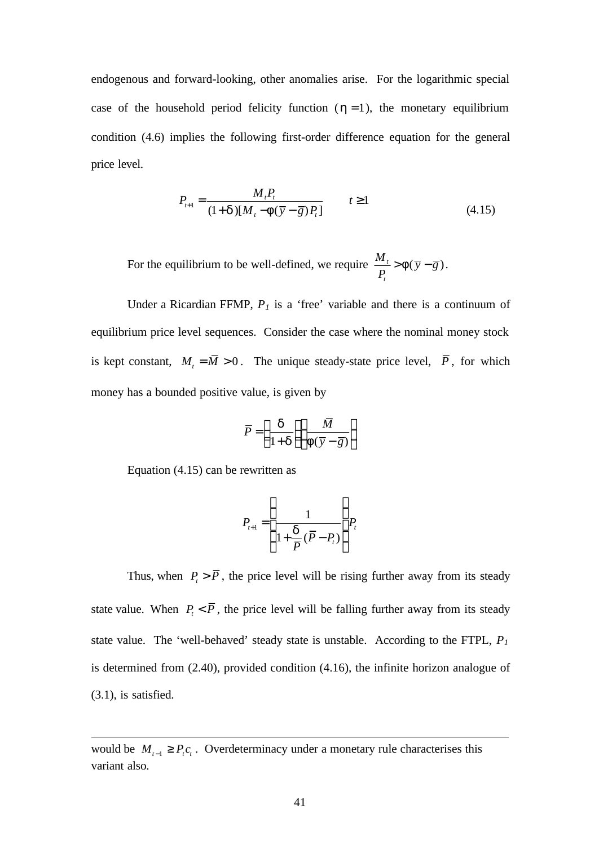endogenous and forward-looking, other anomalies arise. For the logarithmic special case of the household period felicity function  $(h=1)$ , the monetary equilibrium condition (4.6) implies the following first-order difference equation for the general price level.

$$
P_{t+1} = \frac{M_t P_t}{(1+d)[M_t - f(\bar{y} - \bar{g})P_t]} \qquad t \ge 1
$$
\n(4.15)

For the equilibrium to be well-defined, we require  $\frac{m_t}{m} > f(\bar{y} - \bar{g})$ *t*  $\frac{M_t}{g} > f(\overline{y} - \overline{g})$ *P*  $> f(\overline{y} - \overline{g}).$ 

Under a Ricardian FFMP,  $P<sub>1</sub>$  is a 'free' variable and there is a continuum of equilibrium price level sequences. Consider the case where the nominal money stock is kept constant,  $M_t = \overline{M} > 0$ . The unique steady-state price level,  $\overline{P}$ , for which money has a bounded positive value, is given by

$$
\overline{P} = \left(\frac{d}{1+d}\right) \left(\frac{\overline{M}}{f(\overline{y}-\overline{g})}\right)
$$

Equation (4.15) can be rewritten as

l

$$
P_{t+1} = \left(\frac{1}{1 + \frac{d}{\overline{P}}(\overline{P} - P_t)}\right) P_t
$$

Thus, when  $P_i > \overline{P}$ , the price level will be rising further away from its steady state value. When  $P_{i} < \overline{P}$ , the price level will be falling further away from its steady state value. The 'well-behaved' steady state is unstable. According to the FTPL, *P<sup>1</sup>* is determined from (2.40), provided condition (4.16), the infinite horizon analogue of (3.1), is satisfied.

would be  $M_{t-1} \geq P_t c_t$ . Overdeterminacy under a monetary rule characterises this variant also.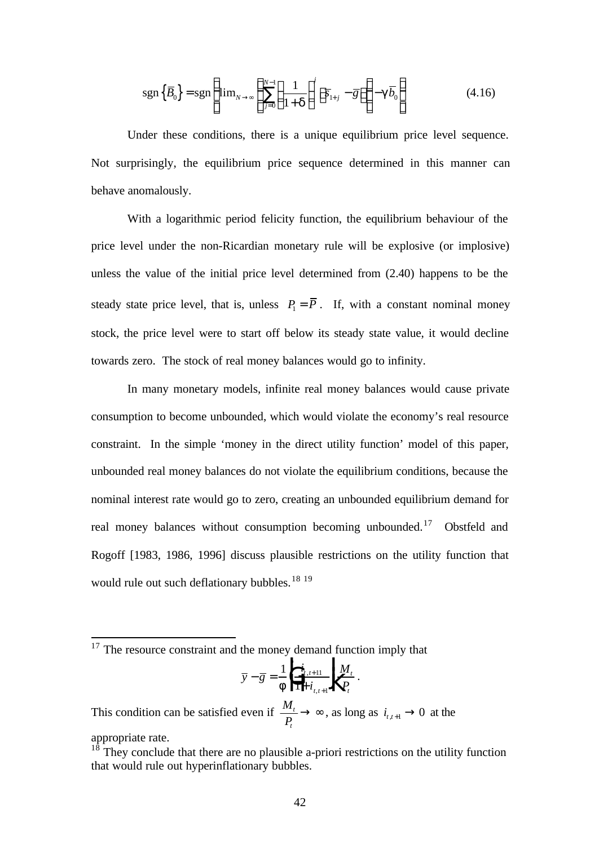$$
sgn\left\{\overline{B}_0\right\} = sgn\left\{\lim_{N \to \infty} \left\{\sum_{j=0}^{N-1} \left(\frac{1}{1+d}\right)^j \left[\overline{s}_{1+j} - \overline{g}\right]\right\} - g\overline{b}_0\right\} \tag{4.16}
$$

Under these conditions, there is a unique equilibrium price level sequence. Not surprisingly, the equilibrium price sequence determined in this manner can behave anomalously.

With a logarithmic period felicity function, the equilibrium behaviour of the price level under the non-Ricardian monetary rule will be explosive (or implosive) unless the value of the initial price level determined from (2.40) happens to be the steady state price level, that is, unless  $P_1 = \overline{P}$ . If, with a constant nominal money stock, the price level were to start off below its steady state value, it would decline towards zero. The stock of real money balances would go to infinity.

In many monetary models, infinite real money balances would cause private consumption to become unbounded, which would violate the economy's real resource constraint. In the simple 'money in the direct utility function' model of this paper, unbounded real money balances do not violate the equilibrium conditions, because the nominal interest rate would go to zero, creating an unbounded equilibrium demand for real money balances without consumption becoming unbounded.<sup>17</sup> Obstfeld and Rogoff [1983, 1986, 1996] discuss plausible restrictions on the utility function that would rule out such deflationary bubbles.<sup>18 19</sup>

l

$$
\overline{y} - \overline{g} = \frac{1}{f} \left| \frac{i_{t,t+1}}{1 + i_{t,t+1}} \right| \frac{M_t}{P_t}.
$$

This condition can be satisfied even if *<sup>M</sup> P t t*  $\rightarrow \infty$ , as long as  $i_{t,t+1} \rightarrow 0$  at the appropriate rate.

 $17$  The resource constraint and the money demand function imply that

 $18$ <sup>18</sup> They conclude that there are no plausible a-priori restrictions on the utility function that would rule out hyperinflationary bubbles.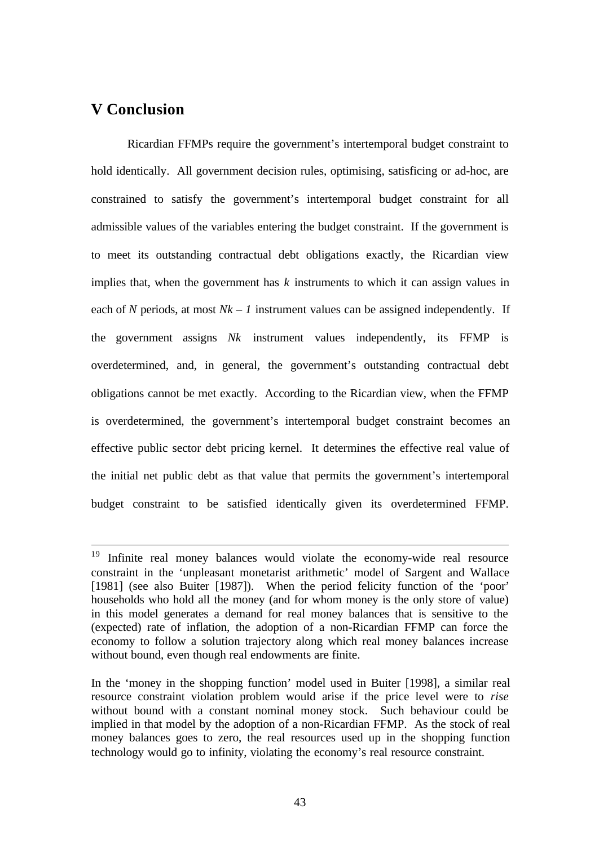# **V Conclusion**

l

Ricardian FFMPs require the government's intertemporal budget constraint to hold identically. All government decision rules, optimising, satisficing or ad-hoc, are constrained to satisfy the government's intertemporal budget constraint for all admissible values of the variables entering the budget constraint. If the government is to meet its outstanding contractual debt obligations exactly, the Ricardian view implies that, when the government has *k* instruments to which it can assign values in each of *N* periods, at most  $Nk - 1$  instrument values can be assigned independently. If the government assigns *Nk* instrument values independently, its FFMP is overdetermined, and, in general, the government's outstanding contractual debt obligations cannot be met exactly. According to the Ricardian view, when the FFMP is overdetermined, the government's intertemporal budget constraint becomes an effective public sector debt pricing kernel. It determines the effective real value of the initial net public debt as that value that permits the government's intertemporal budget constraint to be satisfied identically given its overdetermined FFMP.

<sup>&</sup>lt;sup>19</sup> Infinite real money balances would violate the economy-wide real resource constraint in the 'unpleasant monetarist arithmetic' model of Sargent and Wallace [1981] (see also Buiter [1987]). When the period felicity function of the 'poor' households who hold all the money (and for whom money is the only store of value) in this model generates a demand for real money balances that is sensitive to the (expected) rate of inflation, the adoption of a non-Ricardian FFMP can force the economy to follow a solution trajectory along which real money balances increase without bound, even though real endowments are finite.

In the 'money in the shopping function' model used in Buiter [1998], a similar real resource constraint violation problem would arise if the price level were to *rise* without bound with a constant nominal money stock. Such behaviour could be implied in that model by the adoption of a non-Ricardian FFMP. As the stock of real money balances goes to zero, the real resources used up in the shopping function technology would go to infinity, violating the economy's real resource constraint.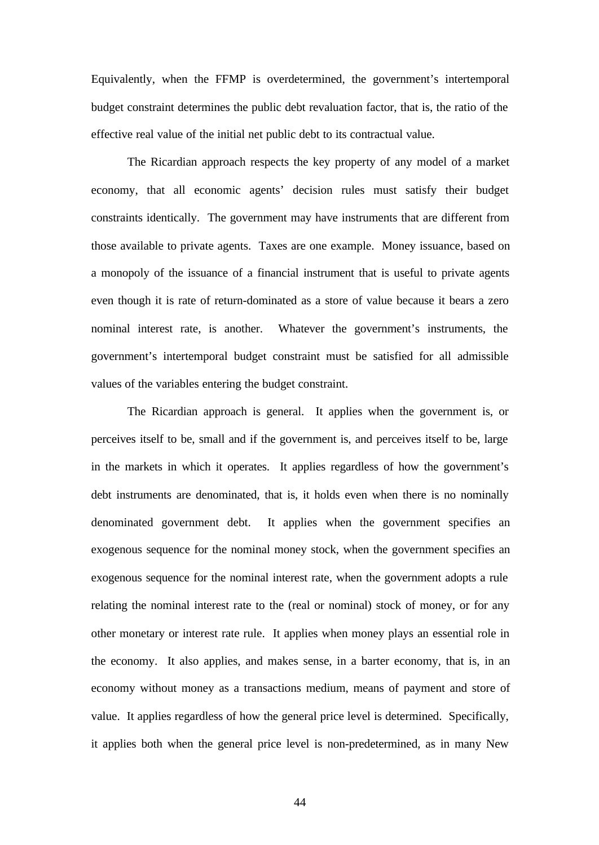Equivalently, when the FFMP is overdetermined, the government's intertemporal budget constraint determines the public debt revaluation factor, that is, the ratio of the effective real value of the initial net public debt to its contractual value.

The Ricardian approach respects the key property of any model of a market economy, that all economic agents' decision rules must satisfy their budget constraints identically. The government may have instruments that are different from those available to private agents. Taxes are one example. Money issuance, based on a monopoly of the issuance of a financial instrument that is useful to private agents even though it is rate of return-dominated as a store of value because it bears a zero nominal interest rate, is another. Whatever the government's instruments, the government's intertemporal budget constraint must be satisfied for all admissible values of the variables entering the budget constraint.

The Ricardian approach is general. It applies when the government is, or perceives itself to be, small and if the government is, and perceives itself to be, large in the markets in which it operates. It applies regardless of how the government's debt instruments are denominated, that is, it holds even when there is no nominally denominated government debt. It applies when the government specifies an exogenous sequence for the nominal money stock, when the government specifies an exogenous sequence for the nominal interest rate, when the government adopts a rule relating the nominal interest rate to the (real or nominal) stock of money, or for any other monetary or interest rate rule. It applies when money plays an essential role in the economy. It also applies, and makes sense, in a barter economy, that is, in an economy without money as a transactions medium, means of payment and store of value. It applies regardless of how the general price level is determined. Specifically, it applies both when the general price level is non-predetermined, as in many New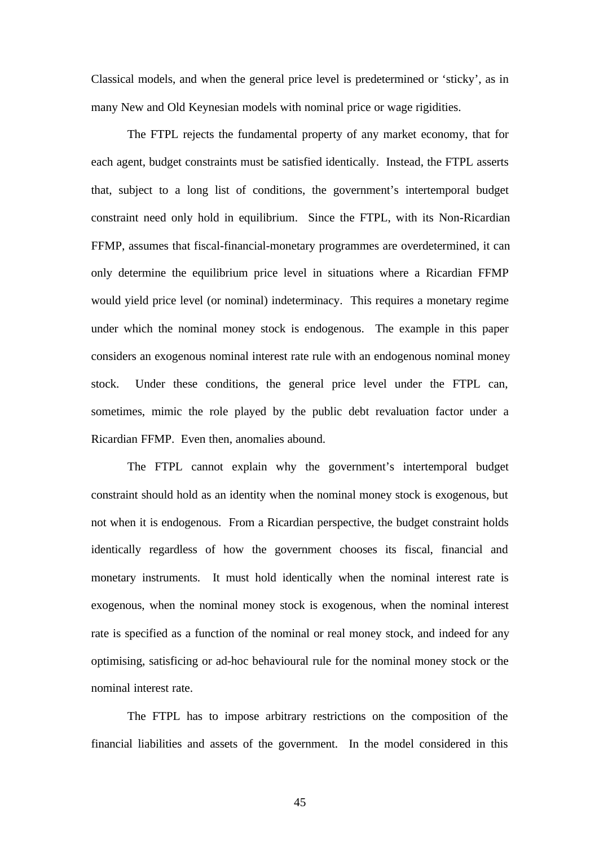Classical models, and when the general price level is predetermined or 'sticky', as in many New and Old Keynesian models with nominal price or wage rigidities.

The FTPL rejects the fundamental property of any market economy, that for each agent, budget constraints must be satisfied identically. Instead, the FTPL asserts that, subject to a long list of conditions, the government's intertemporal budget constraint need only hold in equilibrium. Since the FTPL, with its Non-Ricardian FFMP, assumes that fiscal-financial-monetary programmes are overdetermined, it can only determine the equilibrium price level in situations where a Ricardian FFMP would yield price level (or nominal) indeterminacy. This requires a monetary regime under which the nominal money stock is endogenous. The example in this paper considers an exogenous nominal interest rate rule with an endogenous nominal money stock. Under these conditions, the general price level under the FTPL can, sometimes, mimic the role played by the public debt revaluation factor under a Ricardian FFMP. Even then, anomalies abound.

The FTPL cannot explain why the government's intertemporal budget constraint should hold as an identity when the nominal money stock is exogenous, but not when it is endogenous. From a Ricardian perspective, the budget constraint holds identically regardless of how the government chooses its fiscal, financial and monetary instruments. It must hold identically when the nominal interest rate is exogenous, when the nominal money stock is exogenous, when the nominal interest rate is specified as a function of the nominal or real money stock, and indeed for any optimising, satisficing or ad-hoc behavioural rule for the nominal money stock or the nominal interest rate.

The FTPL has to impose arbitrary restrictions on the composition of the financial liabilities and assets of the government. In the model considered in this

45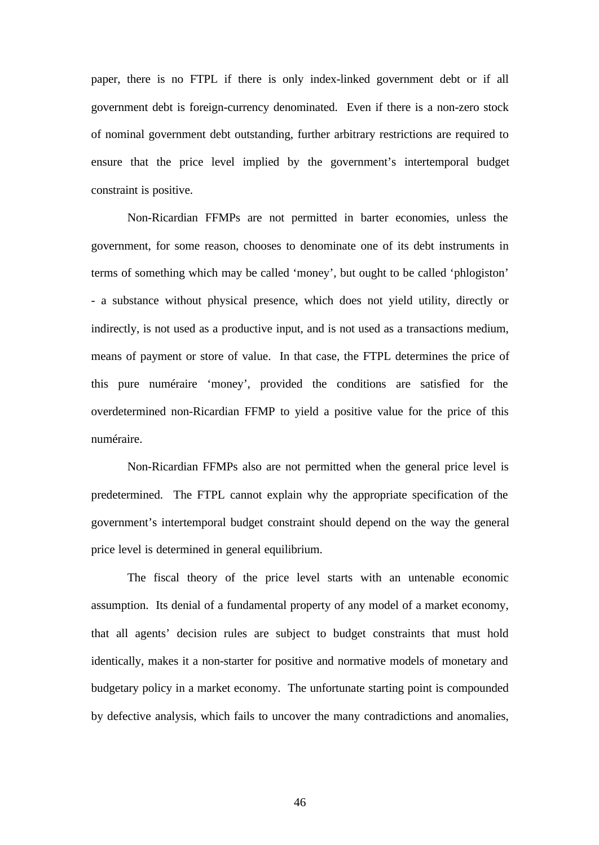paper, there is no FTPL if there is only index-linked government debt or if all government debt is foreign-currency denominated. Even if there is a non-zero stock of nominal government debt outstanding, further arbitrary restrictions are required to ensure that the price level implied by the government's intertemporal budget constraint is positive.

Non-Ricardian FFMPs are not permitted in barter economies, unless the government, for some reason, chooses to denominate one of its debt instruments in terms of something which may be called 'money', but ought to be called 'phlogiston' - a substance without physical presence, which does not yield utility, directly or indirectly, is not used as a productive input, and is not used as a transactions medium, means of payment or store of value. In that case, the FTPL determines the price of this pure numéraire 'money', provided the conditions are satisfied for the overdetermined non-Ricardian FFMP to yield a positive value for the price of this numéraire.

Non-Ricardian FFMPs also are not permitted when the general price level is predetermined. The FTPL cannot explain why the appropriate specification of the government's intertemporal budget constraint should depend on the way the general price level is determined in general equilibrium.

The fiscal theory of the price level starts with an untenable economic assumption. Its denial of a fundamental property of any model of a market economy, that all agents' decision rules are subject to budget constraints that must hold identically, makes it a non-starter for positive and normative models of monetary and budgetary policy in a market economy. The unfortunate starting point is compounded by defective analysis, which fails to uncover the many contradictions and anomalies,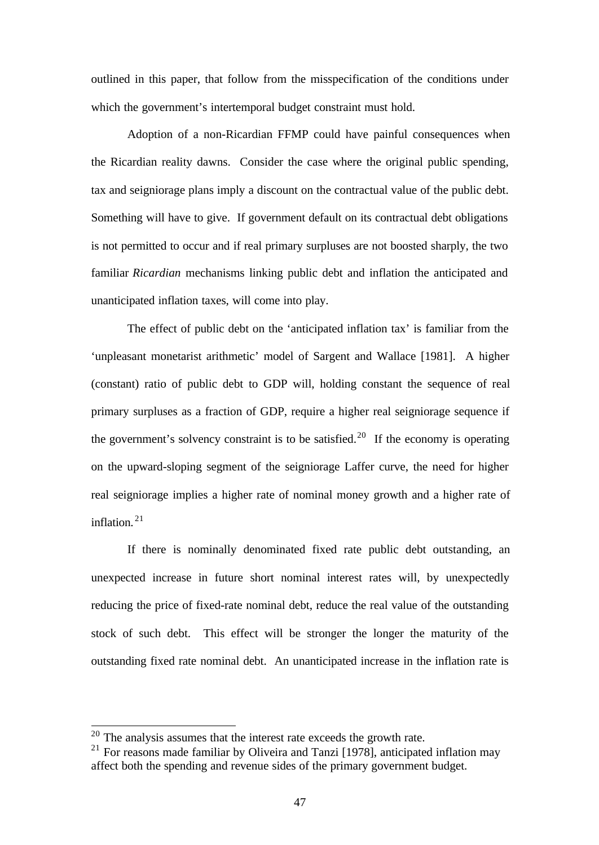outlined in this paper, that follow from the misspecification of the conditions under which the government's intertemporal budget constraint must hold.

Adoption of a non-Ricardian FFMP could have painful consequences when the Ricardian reality dawns. Consider the case where the original public spending, tax and seigniorage plans imply a discount on the contractual value of the public debt. Something will have to give. If government default on its contractual debt obligations is not permitted to occur and if real primary surpluses are not boosted sharply, the two familiar *Ricardian* mechanisms linking public debt and inflation the anticipated and unanticipated inflation taxes, will come into play.

The effect of public debt on the 'anticipated inflation tax' is familiar from the 'unpleasant monetarist arithmetic' model of Sargent and Wallace [1981]. A higher (constant) ratio of public debt to GDP will, holding constant the sequence of real primary surpluses as a fraction of GDP, require a higher real seigniorage sequence if the government's solvency constraint is to be satisfied.<sup>20</sup> If the economy is operating on the upward-sloping segment of the seigniorage Laffer curve, the need for higher real seigniorage implies a higher rate of nominal money growth and a higher rate of inflation.<sup>21</sup>

If there is nominally denominated fixed rate public debt outstanding, an unexpected increase in future short nominal interest rates will, by unexpectedly reducing the price of fixed-rate nominal debt, reduce the real value of the outstanding stock of such debt. This effect will be stronger the longer the maturity of the outstanding fixed rate nominal debt. An unanticipated increase in the inflation rate is

 $20$  The analysis assumes that the interest rate exceeds the growth rate.

 $21$  For reasons made familiar by Oliveira and Tanzi [1978], anticipated inflation may affect both the spending and revenue sides of the primary government budget.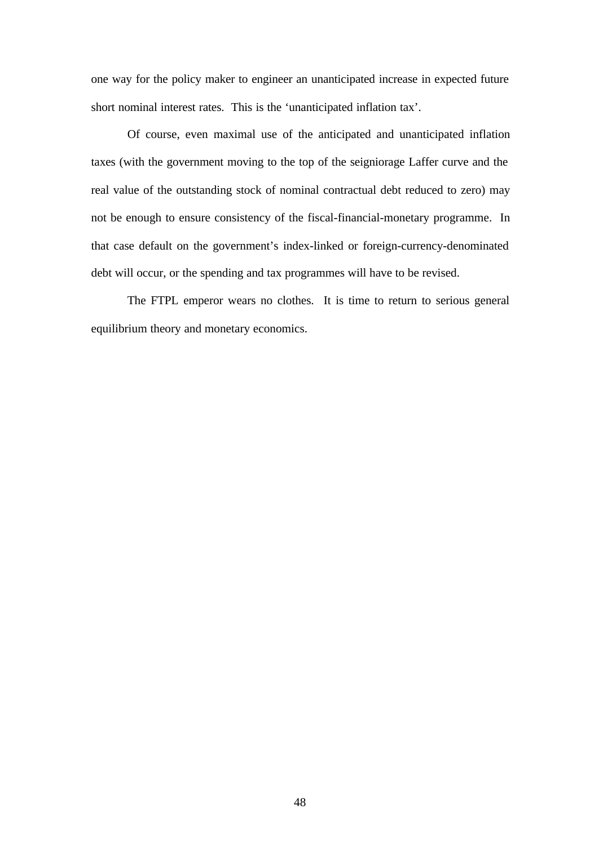one way for the policy maker to engineer an unanticipated increase in expected future short nominal interest rates. This is the 'unanticipated inflation tax'.

Of course, even maximal use of the anticipated and unanticipated inflation taxes (with the government moving to the top of the seigniorage Laffer curve and the real value of the outstanding stock of nominal contractual debt reduced to zero) may not be enough to ensure consistency of the fiscal-financial-monetary programme. In that case default on the government's index-linked or foreign-currency-denominated debt will occur, or the spending and tax programmes will have to be revised.

The FTPL emperor wears no clothes. It is time to return to serious general equilibrium theory and monetary economics.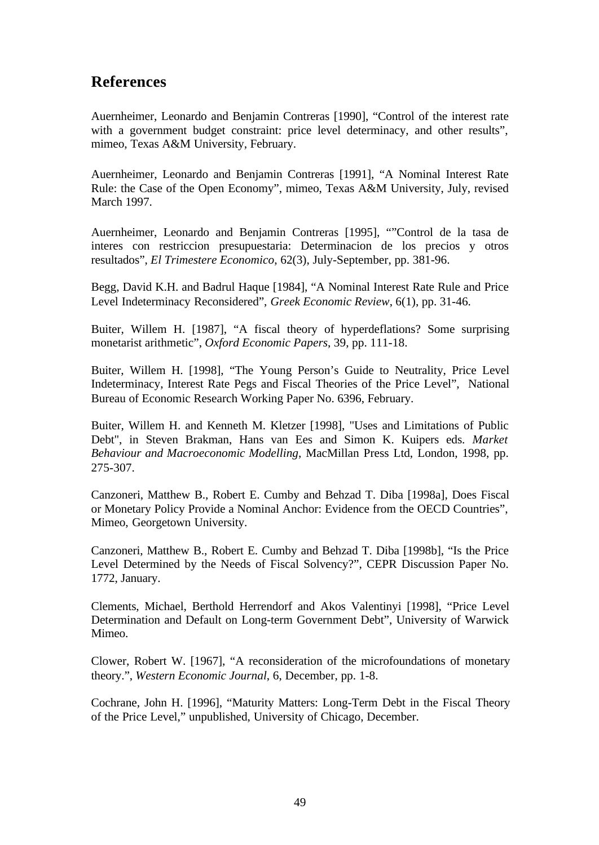# **References**

Auernheimer, Leonardo and Benjamin Contreras [1990], "Control of the interest rate with a government budget constraint: price level determinacy, and other results", mimeo, Texas A&M University, February.

Auernheimer, Leonardo and Benjamin Contreras [1991], "A Nominal Interest Rate Rule: the Case of the Open Economy", mimeo, Texas A&M University, July, revised March 1997.

Auernheimer, Leonardo and Benjamin Contreras [1995], ""Control de la tasa de interes con restriccion presupuestaria: Determinacion de los precios y otros resultados", *El Trimestere Economico*, 62(3), July-September, pp. 381-96.

Begg, David K.H. and Badrul Haque [1984], "A Nominal Interest Rate Rule and Price Level Indeterminacy Reconsidered", *Greek Economic Review*, 6(1), pp. 31-46.

Buiter, Willem H. [1987], "A fiscal theory of hyperdeflations? Some surprising monetarist arithmetic", *Oxford Economic Papers*, 39, pp. 111-18.

Buiter, Willem H. [1998], "The Young Person's Guide to Neutrality, Price Level Indeterminacy, Interest Rate Pegs and Fiscal Theories of the Price Level", National Bureau of Economic Research Working Paper No. 6396, February.

Buiter, Willem H. and Kenneth M. Kletzer [1998], "Uses and Limitations of Public Debt", in Steven Brakman, Hans van Ees and Simon K. Kuipers eds. *Market Behaviour and Macroeconomic Modelling*, MacMillan Press Ltd, London, 1998, pp. 275-307.

Canzoneri, Matthew B., Robert E. Cumby and Behzad T. Diba [1998a], Does Fiscal or Monetary Policy Provide a Nominal Anchor: Evidence from the OECD Countries", Mimeo, Georgetown University.

Canzoneri, Matthew B., Robert E. Cumby and Behzad T. Diba [1998b], "Is the Price Level Determined by the Needs of Fiscal Solvency?", CEPR Discussion Paper No. 1772, January.

Clements, Michael, Berthold Herrendorf and Akos Valentinyi [1998], "Price Level Determination and Default on Long-term Government Debt", University of Warwick Mimeo.

Clower, Robert W. [1967], "A reconsideration of the microfoundations of monetary theory.", *Western Economic Journal*, 6, December, pp. 1-8.

Cochrane, John H. [1996], "Maturity Matters: Long-Term Debt in the Fiscal Theory of the Price Level," unpublished, University of Chicago, December.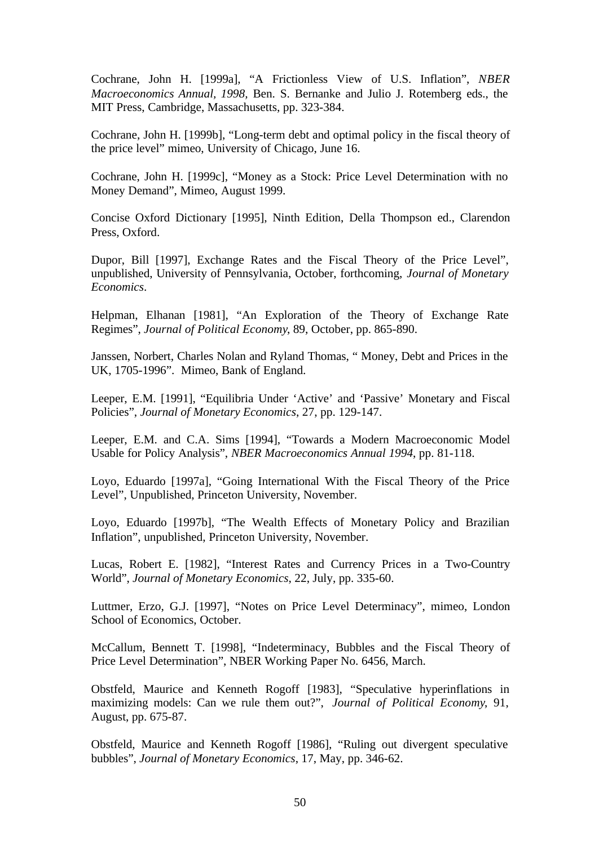Cochrane, John H. [1999a], "A Frictionless View of U.S. Inflation", *NBER Macroeconomics Annual, 1998,* Ben. S. Bernanke and Julio J. Rotemberg eds., the MIT Press, Cambridge, Massachusetts, pp. 323-384.

Cochrane, John H. [1999b], "Long-term debt and optimal policy in the fiscal theory of the price level" mimeo, University of Chicago, June 16.

Cochrane, John H. [1999c], "Money as a Stock: Price Level Determination with no Money Demand", Mimeo, August 1999.

Concise Oxford Dictionary [1995], Ninth Edition, Della Thompson ed., Clarendon Press, Oxford.

Dupor, Bill [1997], Exchange Rates and the Fiscal Theory of the Price Level", unpublished, University of Pennsylvania, October, forthcoming, *Journal of Monetary Economics*.

Helpman, Elhanan [1981], "An Exploration of the Theory of Exchange Rate Regimes", *Journal of Political Economy*, 89, October, pp. 865-890.

Janssen, Norbert, Charles Nolan and Ryland Thomas, " Money, Debt and Prices in the UK, 1705-1996". Mimeo, Bank of England.

Leeper, E.M. [1991], "Equilibria Under 'Active' and 'Passive' Monetary and Fiscal Policies", *Journal of Monetary Economics*, 27, pp. 129-147.

Leeper, E.M. and C.A. Sims [1994], "Towards a Modern Macroeconomic Model Usable for Policy Analysis", *NBER Macroeconomics Annual 1994*, pp. 81-118.

Loyo, Eduardo [1997a], "Going International With the Fiscal Theory of the Price Level", Unpublished, Princeton University, November.

Loyo, Eduardo [1997b], "The Wealth Effects of Monetary Policy and Brazilian Inflation", unpublished, Princeton University, November.

Lucas, Robert E. [1982], "Interest Rates and Currency Prices in a Two-Country World", *Journal of Monetary Economics*, 22, July, pp. 335-60.

Luttmer, Erzo, G.J. [1997], "Notes on Price Level Determinacy", mimeo, London School of Economics, October.

McCallum, Bennett T. [1998], "Indeterminacy, Bubbles and the Fiscal Theory of Price Level Determination", NBER Working Paper No. 6456, March.

Obstfeld, Maurice and Kenneth Rogoff [1983], "Speculative hyperinflations in maximizing models: Can we rule them out?", *Journal of Political Economy*, 91, August, pp. 675-87.

Obstfeld, Maurice and Kenneth Rogoff [1986], "Ruling out divergent speculative bubbles", *Journal of Monetary Economics*, 17, May, pp. 346-62.